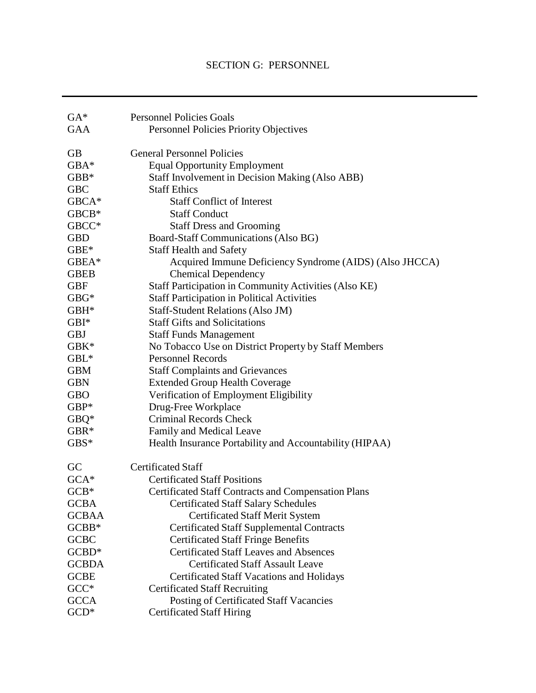# SECTION G: PERSONNEL

| $GA*$        | <b>Personnel Policies Goals</b>                            |
|--------------|------------------------------------------------------------|
| <b>GAA</b>   | <b>Personnel Policies Priority Objectives</b>              |
| <b>GB</b>    | <b>General Personnel Policies</b>                          |
| GBA*         | <b>Equal Opportunity Employment</b>                        |
| $GBB*$       | Staff Involvement in Decision Making (Also ABB)            |
| <b>GBC</b>   | <b>Staff Ethics</b>                                        |
| GBCA*        | <b>Staff Conflict of Interest</b>                          |
| $GBCB*$      | <b>Staff Conduct</b>                                       |
| GBCC*        | <b>Staff Dress and Grooming</b>                            |
| <b>GBD</b>   | Board-Staff Communications (Also BG)                       |
| $GBE*$       | <b>Staff Health and Safety</b>                             |
| GBEA*        | Acquired Immune Deficiency Syndrome (AIDS) (Also JHCCA)    |
| <b>GBEB</b>  | <b>Chemical Dependency</b>                                 |
| <b>GBF</b>   | Staff Participation in Community Activities (Also KE)      |
| $GBG*$       | <b>Staff Participation in Political Activities</b>         |
| $GBH^*$      | <b>Staff-Student Relations (Also JM)</b>                   |
| $GBI^*$      | <b>Staff Gifts and Solicitations</b>                       |
| <b>GBJ</b>   | <b>Staff Funds Management</b>                              |
| $GBK*$       | No Tobacco Use on District Property by Staff Members       |
| $GBL^*$      | <b>Personnel Records</b>                                   |
| <b>GBM</b>   | <b>Staff Complaints and Grievances</b>                     |
| <b>GBN</b>   | <b>Extended Group Health Coverage</b>                      |
| <b>GBO</b>   | Verification of Employment Eligibility                     |
| $GBP*$       | Drug-Free Workplace                                        |
| $GBQ*$       | <b>Criminal Records Check</b>                              |
| $GBR*$       | Family and Medical Leave                                   |
| $GBS*$       | Health Insurance Portability and Accountability (HIPAA)    |
| GC           | <b>Certificated Staff</b>                                  |
| $GCA*$       | <b>Certificated Staff Positions</b>                        |
| $GCB*$       | <b>Certificated Staff Contracts and Compensation Plans</b> |
| <b>GCBA</b>  | <b>Certificated Staff Salary Schedules</b>                 |
| <b>GCBAA</b> | <b>Certificated Staff Merit System</b>                     |
| GCBB*        | <b>Certificated Staff Supplemental Contracts</b>           |
| <b>GCBC</b>  | <b>Certificated Staff Fringe Benefits</b>                  |
| $GCBD^*$     | <b>Certificated Staff Leaves and Absences</b>              |
| <b>GCBDA</b> | <b>Certificated Staff Assault Leave</b>                    |
| <b>GCBE</b>  | <b>Certificated Staff Vacations and Holidays</b>           |
| $GCC*$       | <b>Certificated Staff Recruiting</b>                       |
| <b>GCCA</b>  | Posting of Certificated Staff Vacancies                    |
| $GCD^*$      | <b>Certificated Staff Hiring</b>                           |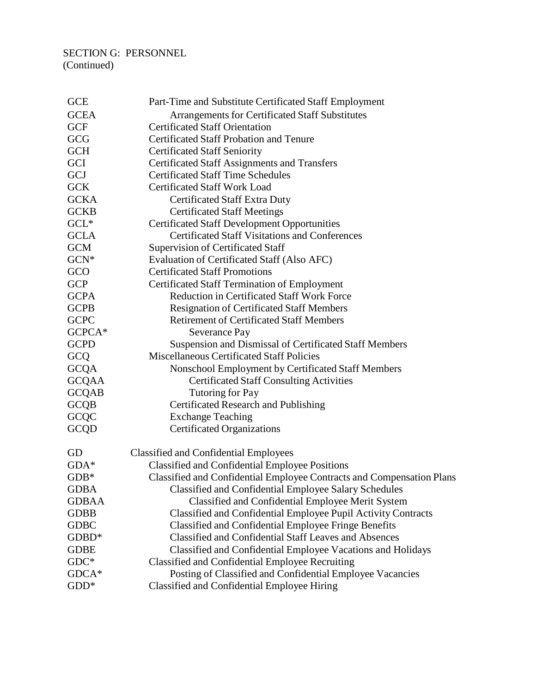# SECTION G: PERSONNEL (Continued)

| Part-Time and Substitute Certificated Staff Employment                |
|-----------------------------------------------------------------------|
| Arrangements for Certificated Staff Substitutes                       |
| <b>Certificated Staff Orientation</b>                                 |
| <b>Certificated Staff Probation and Tenure</b>                        |
| <b>Certificated Staff Seniority</b>                                   |
| <b>Certificated Staff Assignments and Transfers</b>                   |
| <b>Certificated Staff Time Schedules</b>                              |
| <b>Certificated Staff Work Load</b>                                   |
| <b>Certificated Staff Extra Duty</b>                                  |
| <b>Certificated Staff Meetings</b>                                    |
| <b>Certificated Staff Development Opportunities</b>                   |
| <b>Certificated Staff Visitations and Conferences</b>                 |
| <b>Supervision of Certificated Staff</b>                              |
| Evaluation of Certificated Staff (Also AFC)                           |
| <b>Certificated Staff Promotions</b>                                  |
| <b>Certificated Staff Termination of Employment</b>                   |
| <b>Reduction in Certificated Staff Work Force</b>                     |
| <b>Resignation of Certificated Staff Members</b>                      |
| <b>Retirement of Certificated Staff Members</b>                       |
| Severance Pay                                                         |
| Suspension and Dismissal of Certificated Staff Members                |
| <b>Miscellaneous Certificated Staff Policies</b>                      |
| Nonschool Employment by Certificated Staff Members                    |
| <b>Certificated Staff Consulting Activities</b>                       |
| Tutoring for Pay                                                      |
| Certificated Research and Publishing                                  |
| <b>Exchange Teaching</b>                                              |
| <b>Certificated Organizations</b>                                     |
| <b>Classified and Confidential Employees</b>                          |
| <b>Classified and Confidential Employee Positions</b>                 |
| Classified and Confidential Employee Contracts and Compensation Plans |
| Classified and Confidential Employee Salary Schedules                 |
| Classified and Confidential Employee Merit System                     |
| Classified and Confidential Employee Pupil Activity Contracts         |
| <b>Classified and Confidential Employee Fringe Benefits</b>           |
| <b>Classified and Confidential Staff Leaves and Absences</b>          |
| Classified and Confidential Employee Vacations and Holidays           |
| <b>Classified and Confidential Employee Recruiting</b>                |
| Posting of Classified and Confidential Employee Vacancies             |
| Classified and Confidential Employee Hiring                           |
|                                                                       |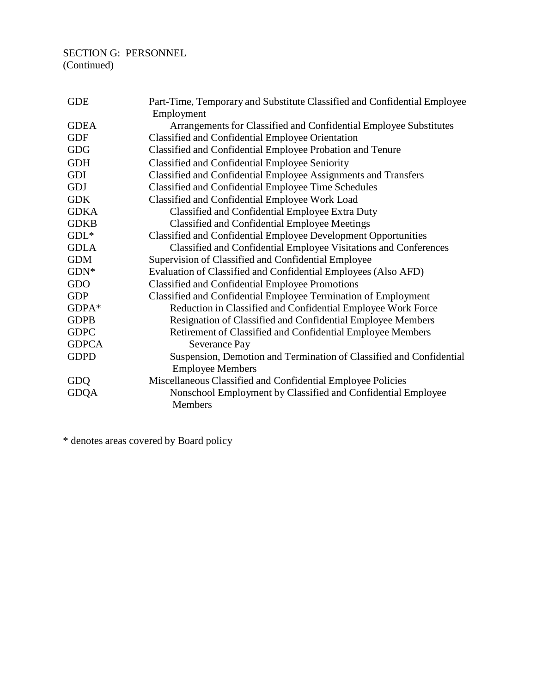# SECTION G: PERSONNEL (Continued)

| <b>GDE</b>   | Part-Time, Temporary and Substitute Classified and Confidential Employee<br>Employment         |
|--------------|------------------------------------------------------------------------------------------------|
| <b>GDEA</b>  | Arrangements for Classified and Confidential Employee Substitutes                              |
| <b>GDF</b>   | Classified and Confidential Employee Orientation                                               |
| <b>GDG</b>   | Classified and Confidential Employee Probation and Tenure                                      |
| <b>GDH</b>   | Classified and Confidential Employee Seniority                                                 |
| GDI          | Classified and Confidential Employee Assignments and Transfers                                 |
| GDJ          | Classified and Confidential Employee Time Schedules                                            |
| <b>GDK</b>   | Classified and Confidential Employee Work Load                                                 |
| <b>GDKA</b>  | Classified and Confidential Employee Extra Duty                                                |
| <b>GDKB</b>  | <b>Classified and Confidential Employee Meetings</b>                                           |
| $GDL*$       | <b>Classified and Confidential Employee Development Opportunities</b>                          |
| <b>GDLA</b>  | Classified and Confidential Employee Visitations and Conferences                               |
| <b>GDM</b>   | Supervision of Classified and Confidential Employee                                            |
| $GDN^*$      | Evaluation of Classified and Confidential Employees (Also AFD)                                 |
| GDO          | <b>Classified and Confidential Employee Promotions</b>                                         |
| <b>GDP</b>   | Classified and Confidential Employee Termination of Employment                                 |
| GDPA*        | Reduction in Classified and Confidential Employee Work Force                                   |
| <b>GDPB</b>  | Resignation of Classified and Confidential Employee Members                                    |
| <b>GDPC</b>  | Retirement of Classified and Confidential Employee Members                                     |
| <b>GDPCA</b> | Severance Pay                                                                                  |
| <b>GDPD</b>  | Suspension, Demotion and Termination of Classified and Confidential<br><b>Employee Members</b> |
| GDQ          | Miscellaneous Classified and Confidential Employee Policies                                    |
| <b>GDQA</b>  | Nonschool Employment by Classified and Confidential Employee<br>Members                        |

\* denotes areas covered by Board policy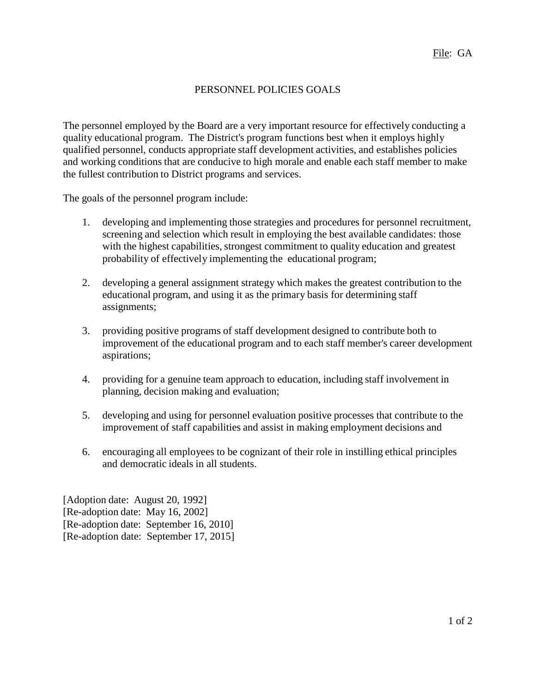## PERSONNEL POLICIES GOALS

The personnel employed by the Board are a very important resource for effectively conducting a quality educational program. The District's program functions best when it employs highly qualified personnel, conducts appropriate staff development activities, and establishes policies and working conditions that are conducive to high morale and enable each staff member to make the fullest contribution to District programs and services.

The goals of the personnel program include:

- 1. developing and implementing those strategies and procedures for personnel recruitment, screening and selection which result in employing the best available candidates: those with the highest capabilities, strongest commitment to quality education and greatest probability of effectively implementing the educational program;
- 2. developing a general assignment strategy which makes the greatest contribution to the educational program, and using it as the primary basis for determining staff assignments;
- 3. providing positive programs of staff development designed to contribute both to improvement of the educational program and to each staff member's career development aspirations;
- 4. providing for a genuine team approach to education, including staff involvement in planning, decision making and evaluation;
- 5. developing and using for personnel evaluation positive processes that contribute to the improvement of staff capabilities and assist in making employment decisions and
- 6. encouraging all employees to be cognizant of their role in instilling ethical principles and democratic ideals in all students.

[Adoption date: August 20, 1992] [Re-adoption date: May 16, 2002] [Re-adoption date: September 16, 2010] [Re-adoption date: September 17, 2015]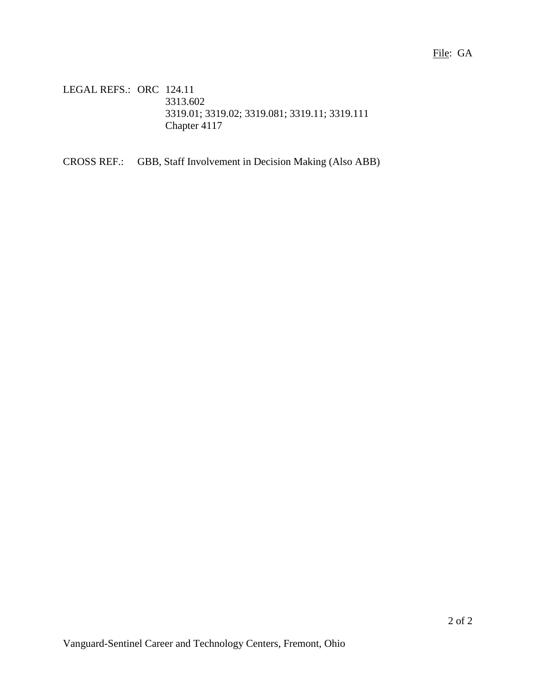LEGAL REFS.: ORC 124.11 3313.602 3319.01; 3319.02; 3319.081; 3319.11; 3319.111 Chapter 4117

CROSS REF.: GBB, Staff Involvement in Decision Making (Also ABB)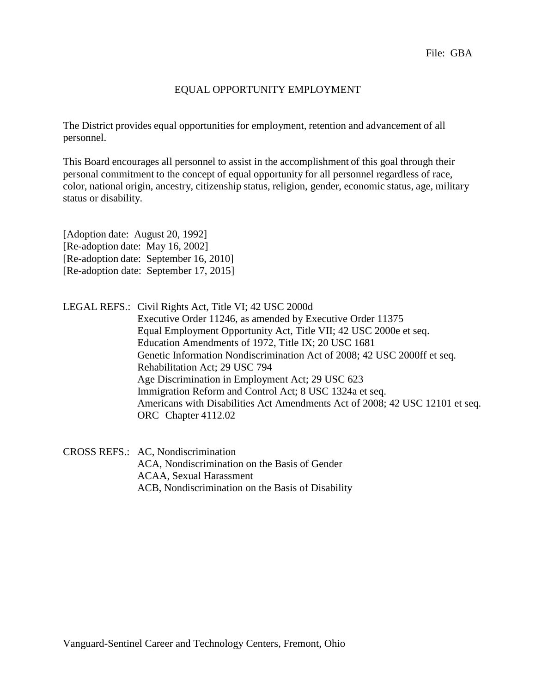## EQUAL OPPORTUNITY EMPLOYMENT

The District provides equal opportunities for employment, retention and advancement of all personnel.

This Board encourages all personnel to assist in the accomplishment of this goal through their personal commitment to the concept of equal opportunity for all personnel regardless of race, color, national origin, ancestry, citizenship status, religion, gender, economic status, age, military status or disability.

[Adoption date: August 20, 1992] [Re-adoption date: May 16, 2002] [Re-adoption date: September 16, 2010] [Re-adoption date: September 17, 2015]

LEGAL REFS.: Civil Rights Act, Title VI; 42 USC 2000d Executive Order 11246, as amended by Executive Order 11375 Equal Employment Opportunity Act, Title VII; 42 USC 2000e et seq. Education Amendments of 1972, Title IX; 20 USC 1681 Genetic Information Nondiscrimination Act of 2008; 42 USC 2000ff et seq. Rehabilitation Act; 29 USC 794 Age Discrimination in Employment Act; 29 USC 623 Immigration Reform and Control Act; 8 USC 1324a et seq. Americans with Disabilities Act Amendments Act of 2008; 42 USC 12101 et seq. ORC Chapter 4112.02

CROSS REFS.: AC, Nondiscrimination ACA, Nondiscrimination on the Basis of Gender ACAA, Sexual Harassment ACB, Nondiscrimination on the Basis of Disability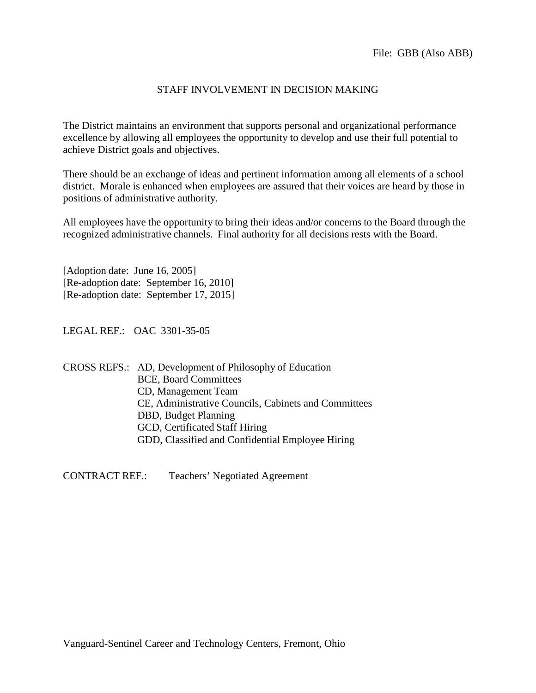### STAFF INVOLVEMENT IN DECISION MAKING

The District maintains an environment that supports personal and organizational performance excellence by allowing all employees the opportunity to develop and use their full potential to achieve District goals and objectives.

There should be an exchange of ideas and pertinent information among all elements of a school district. Morale is enhanced when employees are assured that their voices are heard by those in positions of administrative authority.

All employees have the opportunity to bring their ideas and/or concerns to the Board through the recognized administrative channels. Final authority for all decisions rests with the Board.

[Adoption date: June 16, 2005] [Re-adoption date: September 16, 2010] [Re-adoption date: September 17, 2015]

LEGAL REF.: OAC 3301-35-05

CROSS REFS.: AD, Development of Philosophy of Education BCE, Board Committees CD, Management Team CE, Administrative Councils, Cabinets and Committees DBD, Budget Planning GCD, Certificated Staff Hiring GDD, Classified and Confidential Employee Hiring

CONTRACT REF.: Teachers' Negotiated Agreement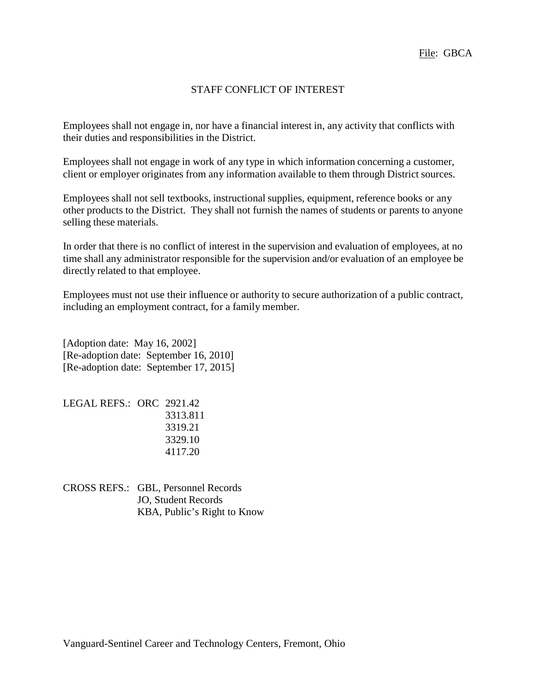#### STAFF CONFLICT OF INTEREST

Employees shall not engage in, nor have a financial interest in, any activity that conflicts with their duties and responsibilities in the District.

Employees shall not engage in work of any type in which information concerning a customer, client or employer originates from any information available to them through District sources.

Employees shall not sell textbooks, instructional supplies, equipment, reference books or any other products to the District. They shall not furnish the names of students or parents to anyone selling these materials.

In order that there is no conflict of interest in the supervision and evaluation of employees, at no time shall any administrator responsible for the supervision and/or evaluation of an employee be directly related to that employee.

Employees must not use their influence or authority to secure authorization of a public contract, including an employment contract, for a family member.

[Adoption date: May 16, 2002] [Re-adoption date: September 16, 2010] [Re-adoption date: September 17, 2015]

LEGAL REFS.: ORC 2921.42 3313.811 3319.21 3329.10 4117.20

CROSS REFS.: GBL, Personnel Records JO, Student Records KBA, Public's Right to Know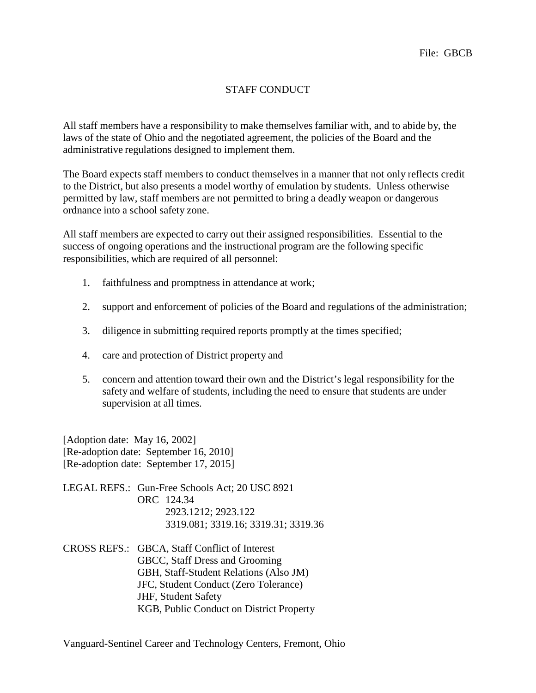## STAFF CONDUCT

All staff members have a responsibility to make themselves familiar with, and to abide by, the laws of the state of Ohio and the negotiated agreement, the policies of the Board and the administrative regulations designed to implement them.

The Board expects staff members to conduct themselves in a manner that not only reflects credit to the District, but also presents a model worthy of emulation by students. Unless otherwise permitted by law, staff members are not permitted to bring a deadly weapon or dangerous ordnance into a school safety zone.

All staff members are expected to carry out their assigned responsibilities. Essential to the success of ongoing operations and the instructional program are the following specific responsibilities, which are required of all personnel:

- 1. faithfulness and promptness in attendance at work;
- 2. support and enforcement of policies of the Board and regulations of the administration;
- 3. diligence in submitting required reports promptly at the times specified;
- 4. care and protection of District property and
- 5. concern and attention toward their own and the District's legal responsibility for the safety and welfare of students, including the need to ensure that students are under supervision at all times.

[Adoption date: May 16, 2002] [Re-adoption date: September 16, 2010] [Re-adoption date: September 17, 2015]

LEGAL REFS.: Gun-Free Schools Act; 20 USC 8921 ORC 124.34 2923.1212; 2923.122 3319.081; 3319.16; 3319.31; 3319.36

CROSS REFS.: GBCA, Staff Conflict of Interest GBCC, Staff Dress and Grooming GBH, Staff-Student Relations (Also JM) JFC, Student Conduct (Zero Tolerance) JHF, Student Safety KGB, Public Conduct on District Property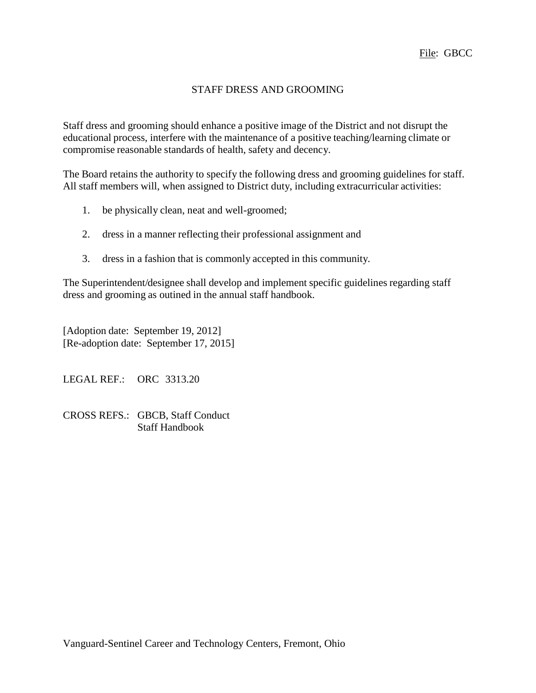## STAFF DRESS AND GROOMING

Staff dress and grooming should enhance a positive image of the District and not disrupt the educational process, interfere with the maintenance of a positive teaching/learning climate or compromise reasonable standards of health, safety and decency.

The Board retains the authority to specify the following dress and grooming guidelines for staff. All staff members will, when assigned to District duty, including extracurricular activities:

- 1. be physically clean, neat and well-groomed;
- 2. dress in a manner reflecting their professional assignment and
- 3. dress in a fashion that is commonly accepted in this community.

The Superintendent/designee shall develop and implement specific guidelines regarding staff dress and grooming as outined in the annual staff handbook.

[Adoption date: September 19, 2012] [Re-adoption date: September 17, 2015]

LEGAL REF.: ORC 3313.20

CROSS REFS.: GBCB, Staff Conduct Staff Handbook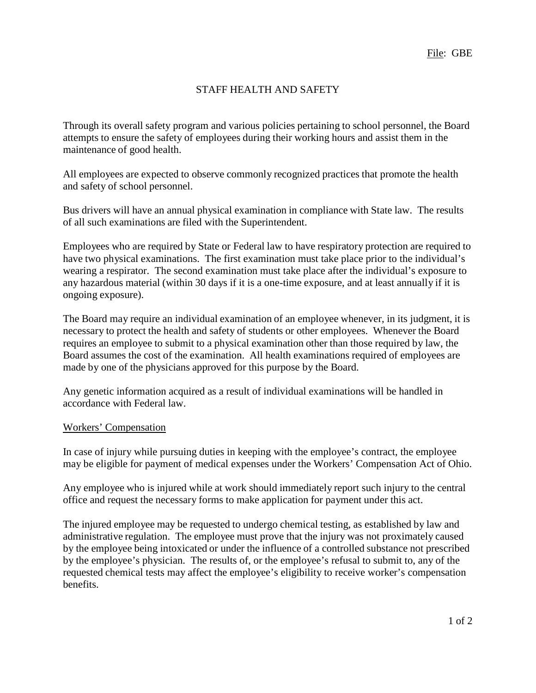## STAFF HEALTH AND SAFETY

Through its overall safety program and various policies pertaining to school personnel, the Board attempts to ensure the safety of employees during their working hours and assist them in the maintenance of good health.

All employees are expected to observe commonly recognized practices that promote the health and safety of school personnel.

Bus drivers will have an annual physical examination in compliance with State law. The results of all such examinations are filed with the Superintendent.

Employees who are required by State or Federal law to have respiratory protection are required to have two physical examinations. The first examination must take place prior to the individual's wearing a respirator. The second examination must take place after the individual's exposure to any hazardous material (within 30 days if it is a one-time exposure, and at least annually if it is ongoing exposure).

The Board may require an individual examination of an employee whenever, in its judgment, it is necessary to protect the health and safety of students or other employees. Whenever the Board requires an employee to submit to a physical examination other than those required by law, the Board assumes the cost of the examination. All health examinations required of employees are made by one of the physicians approved for this purpose by the Board.

Any genetic information acquired as a result of individual examinations will be handled in accordance with Federal law.

#### Workers' Compensation

In case of injury while pursuing duties in keeping with the employee's contract, the employee may be eligible for payment of medical expenses under the Workers' Compensation Act of Ohio.

Any employee who is injured while at work should immediately report such injury to the central office and request the necessary forms to make application for payment under this act.

The injured employee may be requested to undergo chemical testing, as established by law and administrative regulation. The employee must prove that the injury was not proximately caused by the employee being intoxicated or under the influence of a controlled substance not prescribed by the employee's physician. The results of, or the employee's refusal to submit to, any of the requested chemical tests may affect the employee's eligibility to receive worker's compensation benefits.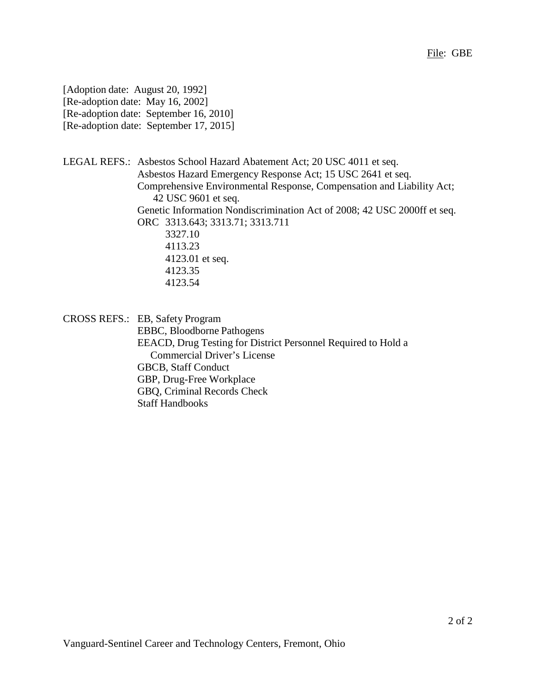[Adoption date: August 20, 1992] [Re-adoption date: May 16, 2002] [Re-adoption date: September 16, 2010] [Re-adoption date: September 17, 2015]

LEGAL REFS.: Asbestos School Hazard Abatement Act; 20 USC 4011 et seq. Asbestos Hazard Emergency Response Act; 15 USC 2641 et seq. Comprehensive Environmental Response, Compensation and Liability Act; 42 USC 9601 et seq. Genetic Information Nondiscrimination Act of 2008; 42 USC 2000ff et seq. ORC 3313.643; 3313.71; 3313.711 3327.10 4113.23 4123.01 et seq. 4123.35 4123.54

CROSS REFS.: EB, Safety Program

EBBC, Bloodborne Pathogens EEACD, Drug Testing for District Personnel Required to Hold a Commercial Driver's License GBCB, Staff Conduct GBP, Drug-Free Workplace GBQ, Criminal Records Check Staff Handbooks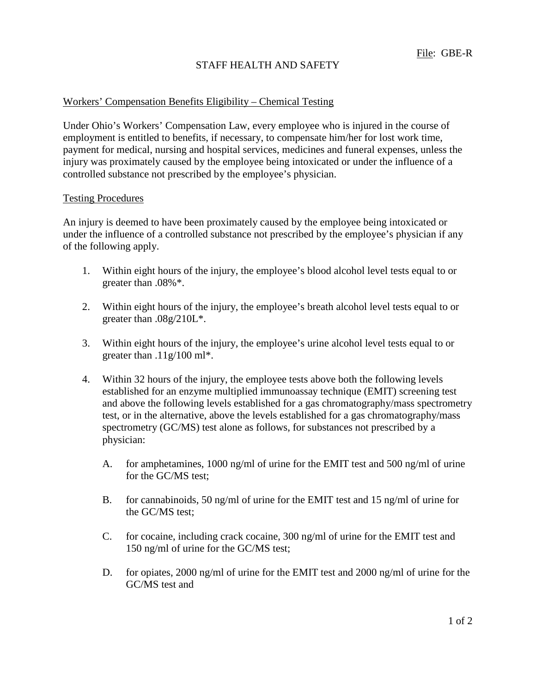## STAFF HEALTH AND SAFETY

#### Workers' Compensation Benefits Eligibility – Chemical Testing

Under Ohio's Workers' Compensation Law, every employee who is injured in the course of employment is entitled to benefits, if necessary, to compensate him/her for lost work time, payment for medical, nursing and hospital services, medicines and funeral expenses, unless the injury was proximately caused by the employee being intoxicated or under the influence of a controlled substance not prescribed by the employee's physician.

#### Testing Procedures

An injury is deemed to have been proximately caused by the employee being intoxicated or under the influence of a controlled substance not prescribed by the employee's physician if any of the following apply.

- 1. Within eight hours of the injury, the employee's blood alcohol level tests equal to or greater than .08%\*.
- 2. Within eight hours of the injury, the employee's breath alcohol level tests equal to or greater than .08g/210L\*.
- 3. Within eight hours of the injury, the employee's urine alcohol level tests equal to or greater than .11g/100 ml\*.
- 4. Within 32 hours of the injury, the employee tests above both the following levels established for an enzyme multiplied immunoassay technique (EMIT) screening test and above the following levels established for a gas chromatography/mass spectrometry test, or in the alternative, above the levels established for a gas chromatography/mass spectrometry (GC/MS) test alone as follows, for substances not prescribed by a physician:
	- A. for amphetamines, 1000 ng/ml of urine for the EMIT test and 500 ng/ml of urine for the GC/MS test;
	- B. for cannabinoids, 50 ng/ml of urine for the EMIT test and 15 ng/ml of urine for the GC/MS test;
	- C. for cocaine, including crack cocaine, 300 ng/ml of urine for the EMIT test and 150 ng/ml of urine for the GC/MS test;
	- D. for opiates, 2000 ng/ml of urine for the EMIT test and 2000 ng/ml of urine for the GC/MS test and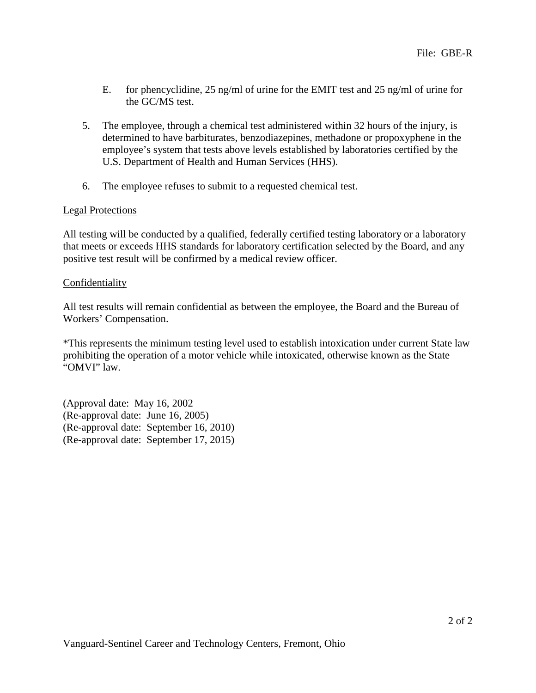- E. for phencyclidine, 25 ng/ml of urine for the EMIT test and 25 ng/ml of urine for the GC/MS test.
- 5. The employee, through a chemical test administered within 32 hours of the injury, is determined to have barbiturates, benzodiazepines, methadone or propoxyphene in the employee's system that tests above levels established by laboratories certified by the U.S. Department of Health and Human Services (HHS).
- 6. The employee refuses to submit to a requested chemical test.

## Legal Protections

All testing will be conducted by a qualified, federally certified testing laboratory or a laboratory that meets or exceeds HHS standards for laboratory certification selected by the Board, and any positive test result will be confirmed by a medical review officer.

## **Confidentiality**

All test results will remain confidential as between the employee, the Board and the Bureau of Workers' Compensation.

\*This represents the minimum testing level used to establish intoxication under current State law prohibiting the operation of a motor vehicle while intoxicated, otherwise known as the State "OMVI" law.

(Approval date: May 16, 2002 (Re-approval date: June 16, 2005) (Re-approval date: September 16, 2010) (Re-approval date: September 17, 2015)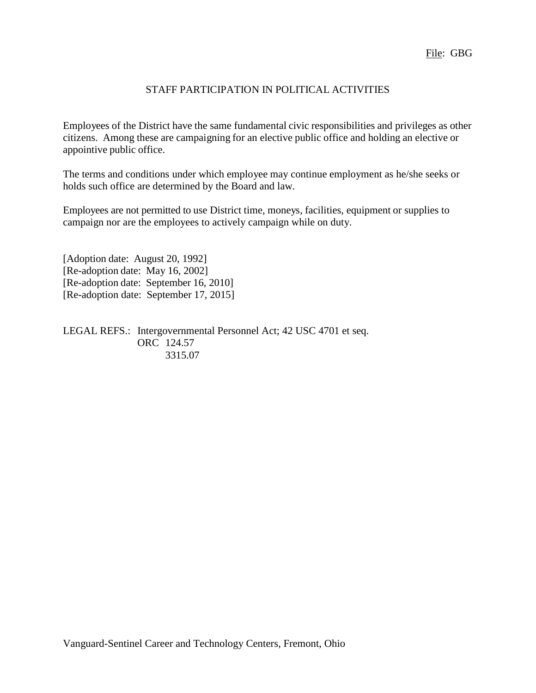## STAFF PARTICIPATION IN POLITICAL ACTIVITIES

Employees of the District have the same fundamental civic responsibilities and privileges as other citizens. Among these are campaigning for an elective public office and holding an elective or appointive public office.

The terms and conditions under which employee may continue employment as he/she seeks or holds such office are determined by the Board and law.

Employees are not permitted to use District time, moneys, facilities, equipment or supplies to campaign nor are the employees to actively campaign while on duty.

[Adoption date: August 20, 1992] [Re-adoption date: May 16, 2002] [Re-adoption date: September 16, 2010] [Re-adoption date: September 17, 2015]

LEGAL REFS.: Intergovernmental Personnel Act; 42 USC 4701 et seq. ORC 124.57 3315.07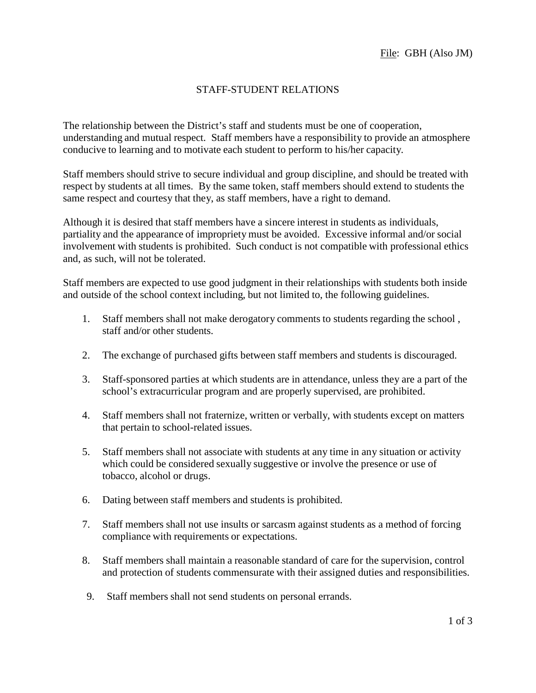## STAFF-STUDENT RELATIONS

The relationship between the District's staff and students must be one of cooperation, understanding and mutual respect. Staff members have a responsibility to provide an atmosphere conducive to learning and to motivate each student to perform to his/her capacity.

Staff members should strive to secure individual and group discipline, and should be treated with respect by students at all times. By the same token, staff members should extend to students the same respect and courtesy that they, as staff members, have a right to demand.

Although it is desired that staff members have a sincere interest in students as individuals, partiality and the appearance of impropriety must be avoided. Excessive informal and/or social involvement with students is prohibited. Such conduct is not compatible with professional ethics and, as such, will not be tolerated.

Staff members are expected to use good judgment in their relationships with students both inside and outside of the school context including, but not limited to, the following guidelines.

- 1. Staff members shall not make derogatory comments to students regarding the school , staff and/or other students.
- 2. The exchange of purchased gifts between staff members and students is discouraged.
- 3. Staff-sponsored parties at which students are in attendance, unless they are a part of the school's extracurricular program and are properly supervised, are prohibited.
- 4. Staff members shall not fraternize, written or verbally, with students except on matters that pertain to school-related issues.
- 5. Staff members shall not associate with students at any time in any situation or activity which could be considered sexually suggestive or involve the presence or use of tobacco, alcohol or drugs.
- 6. Dating between staff members and students is prohibited.
- 7. Staff members shall not use insults or sarcasm against students as a method of forcing compliance with requirements or expectations.
- 8. Staff members shall maintain a reasonable standard of care for the supervision, control and protection of students commensurate with their assigned duties and responsibilities.
- 9. Staff members shall not send students on personal errands.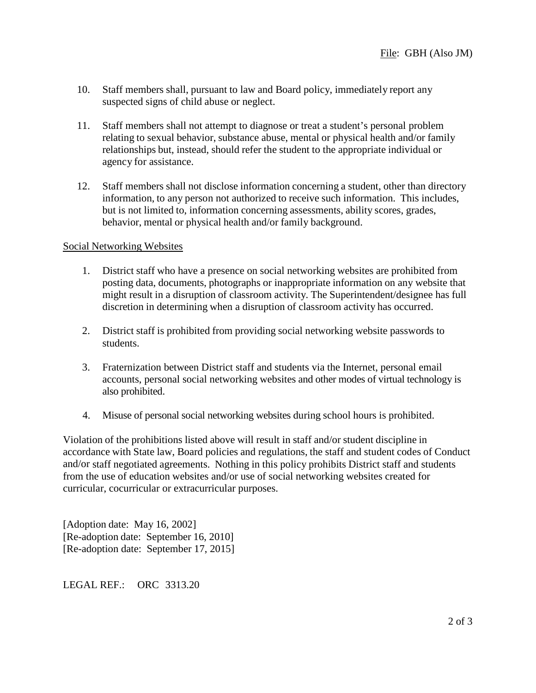- 10. Staff members shall, pursuant to law and Board policy, immediately report any suspected signs of child abuse or neglect.
- 11. Staff members shall not attempt to diagnose or treat a student's personal problem relating to sexual behavior, substance abuse, mental or physical health and/or family relationships but, instead, should refer the student to the appropriate individual or agency for assistance.
- 12. Staff members shall not disclose information concerning a student, other than directory information, to any person not authorized to receive such information. This includes, but is not limited to, information concerning assessments, ability scores, grades, behavior, mental or physical health and/or family background.

#### Social Networking Websites

- 1. District staff who have a presence on social networking websites are prohibited from posting data, documents, photographs or inappropriate information on any website that might result in a disruption of classroom activity. The Superintendent/designee has full discretion in determining when a disruption of classroom activity has occurred.
- 2. District staff is prohibited from providing social networking website passwords to students.
- 3. Fraternization between District staff and students via the Internet, personal email accounts, personal social networking websites and other modes of virtual technology is also prohibited.
- 4. Misuse of personal social networking websites during school hours is prohibited.

Violation of the prohibitions listed above will result in staff and/or student discipline in accordance with State law, Board policies and regulations, the staff and student codes of Conduct and/or staff negotiated agreements. Nothing in this policy prohibits District staff and students from the use of education websites and/or use of social networking websites created for curricular, cocurricular or extracurricular purposes.

[Adoption date: May 16, 2002] [Re-adoption date: September 16, 2010] [Re-adoption date: September 17, 2015]

LEGAL REF.: ORC 3313.20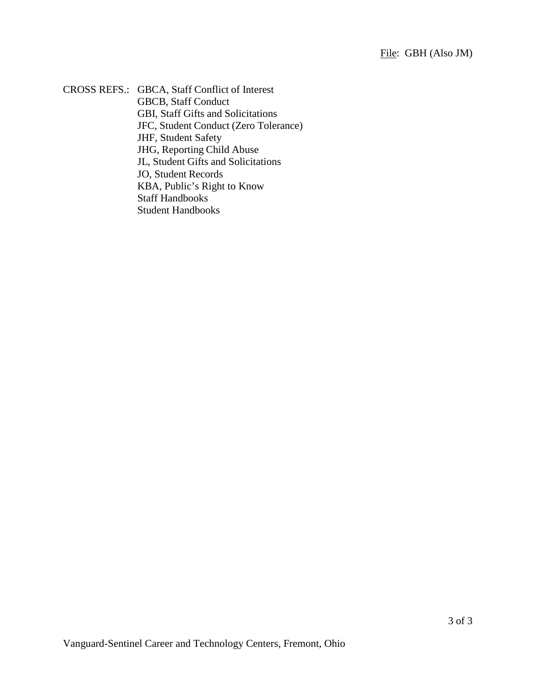CROSS REFS.: GBCA, Staff Conflict of Interest GBCB, Staff Conduct GBI, Staff Gifts and Solicitations JFC, Student Conduct (Zero Tolerance) JHF, Student Safety JHG, Reporting Child Abuse JL, Student Gifts and Solicitations JO, Student Records KBA, Public's Right to Know Staff Handbooks Student Handbooks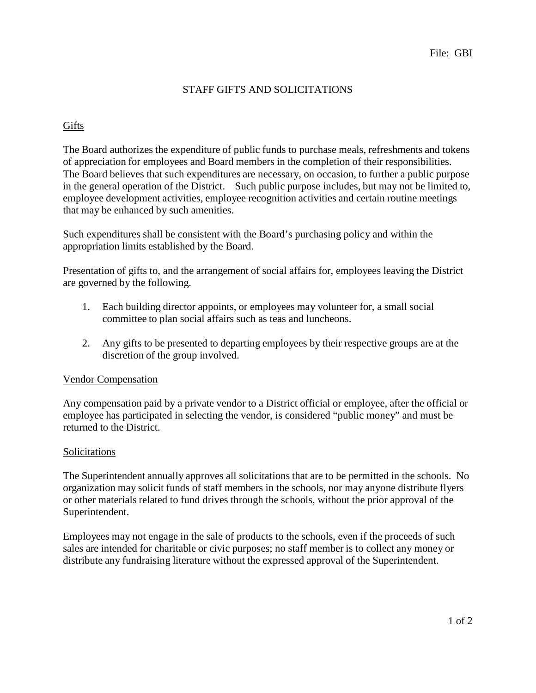## STAFF GIFTS AND SOLICITATIONS

#### Gifts

The Board authorizes the expenditure of public funds to purchase meals, refreshments and tokens of appreciation for employees and Board members in the completion of their responsibilities. The Board believes that such expenditures are necessary, on occasion, to further a public purpose in the general operation of the District. Such public purpose includes, but may not be limited to, employee development activities, employee recognition activities and certain routine meetings that may be enhanced by such amenities.

Such expenditures shall be consistent with the Board's purchasing policy and within the appropriation limits established by the Board.

Presentation of gifts to, and the arrangement of social affairs for, employees leaving the District are governed by the following.

- 1. Each building director appoints, or employees may volunteer for, a small social committee to plan social affairs such as teas and luncheons.
- 2. Any gifts to be presented to departing employees by their respective groups are at the discretion of the group involved.

#### Vendor Compensation

Any compensation paid by a private vendor to a District official or employee, after the official or employee has participated in selecting the vendor, is considered "public money" and must be returned to the District.

#### **Solicitations**

The Superintendent annually approves all solicitations that are to be permitted in the schools. No organization may solicit funds of staff members in the schools, nor may anyone distribute flyers or other materials related to fund drives through the schools, without the prior approval of the Superintendent.

Employees may not engage in the sale of products to the schools, even if the proceeds of such sales are intended for charitable or civic purposes; no staff member is to collect any money or distribute any fundraising literature without the expressed approval of the Superintendent.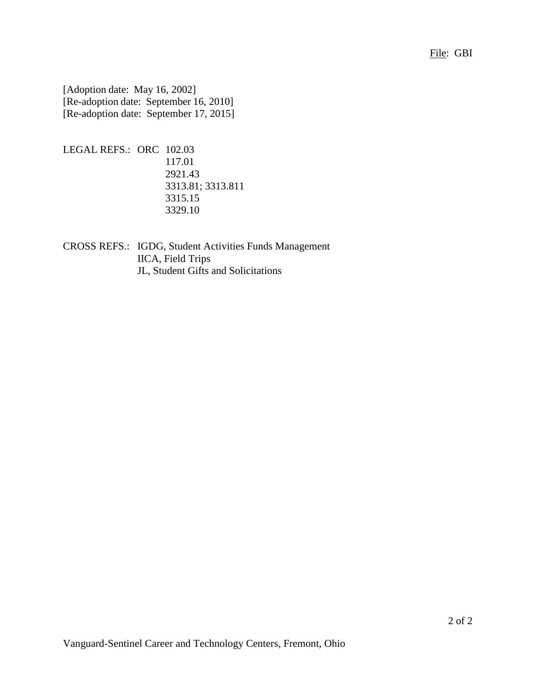[Adoption date: May 16, 2002] [Re-adoption date: September 16, 2010] [Re-adoption date: September 17, 2015]

```
LEGAL REFS.: ORC 102.03
        117.01
        2921.43
        3313.81; 3313.811
        3315.15
        3329.10
```
CROSS REFS.: IGDG, Student Activities Funds Management IICA, Field Trips JL, Student Gifts and Solicitations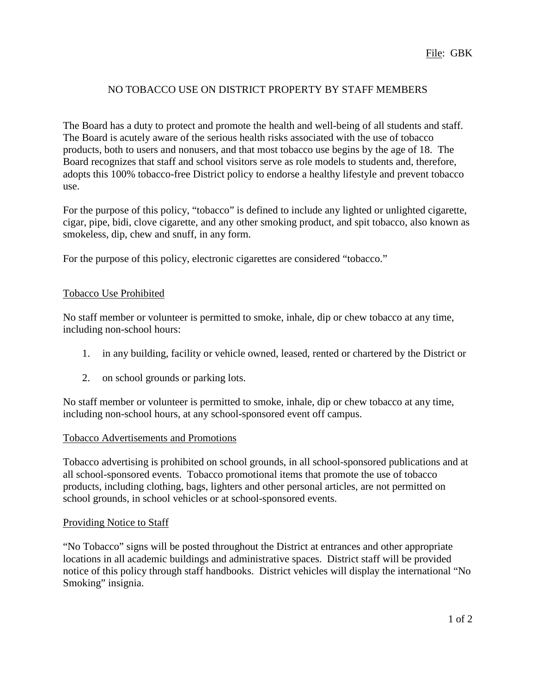## NO TOBACCO USE ON DISTRICT PROPERTY BY STAFF MEMBERS

The Board has a duty to protect and promote the health and well-being of all students and staff. The Board is acutely aware of the serious health risks associated with the use of tobacco products, both to users and nonusers, and that most tobacco use begins by the age of 18. The Board recognizes that staff and school visitors serve as role models to students and, therefore, adopts this 100% tobacco-free District policy to endorse a healthy lifestyle and prevent tobacco use.

For the purpose of this policy, "tobacco" is defined to include any lighted or unlighted cigarette, cigar, pipe, bidi, clove cigarette, and any other smoking product, and spit tobacco, also known as smokeless, dip, chew and snuff, in any form.

For the purpose of this policy, electronic cigarettes are considered "tobacco."

### Tobacco Use Prohibited

No staff member or volunteer is permitted to smoke, inhale, dip or chew tobacco at any time, including non-school hours:

- 1. in any building, facility or vehicle owned, leased, rented or chartered by the District or
- 2. on school grounds or parking lots.

No staff member or volunteer is permitted to smoke, inhale, dip or chew tobacco at any time, including non-school hours, at any school-sponsored event off campus.

#### Tobacco Advertisements and Promotions

Tobacco advertising is prohibited on school grounds, in all school-sponsored publications and at all school-sponsored events. Tobacco promotional items that promote the use of tobacco products, including clothing, bags, lighters and other personal articles, are not permitted on school grounds, in school vehicles or at school-sponsored events.

#### Providing Notice to Staff

"No Tobacco" signs will be posted throughout the District at entrances and other appropriate locations in all academic buildings and administrative spaces. District staff will be provided notice of this policy through staff handbooks. District vehicles will display the international "No Smoking" insignia.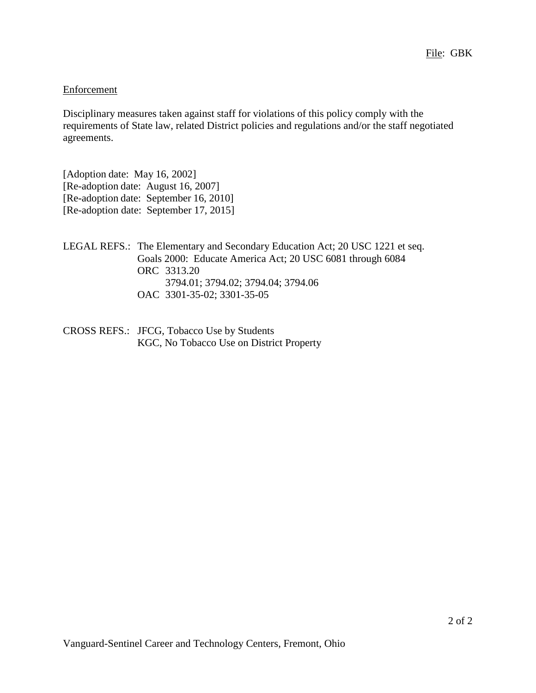### **Enforcement**

Disciplinary measures taken against staff for violations of this policy comply with the requirements of State law, related District policies and regulations and/or the staff negotiated agreements.

[Adoption date: May 16, 2002] [Re-adoption date: August 16, 2007] [Re-adoption date: September 16, 2010] [Re-adoption date: September 17, 2015]

- LEGAL REFS.: The Elementary and Secondary Education Act; 20 USC 1221 et seq. Goals 2000: Educate America Act; 20 USC 6081 through 6084 ORC 3313.20 3794.01; 3794.02; 3794.04; 3794.06 OAC 3301-35-02; 3301-35-05
- CROSS REFS.: JFCG, Tobacco Use by Students KGC, No Tobacco Use on District Property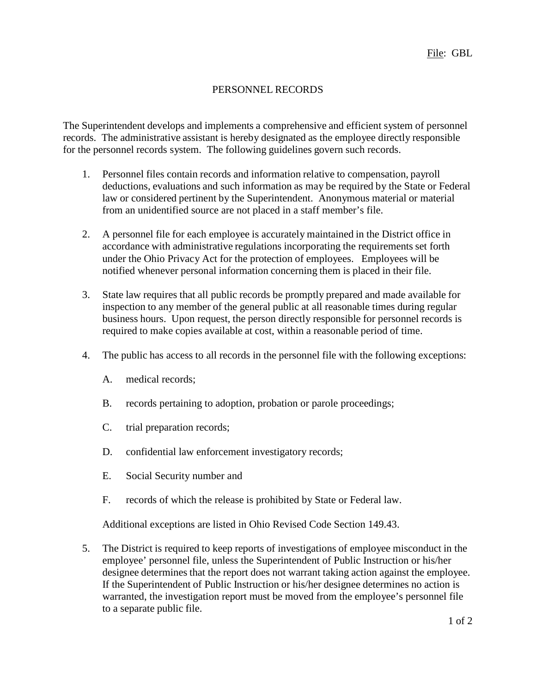## PERSONNEL RECORDS

The Superintendent develops and implements a comprehensive and efficient system of personnel records. The administrative assistant is hereby designated as the employee directly responsible for the personnel records system. The following guidelines govern such records.

- 1. Personnel files contain records and information relative to compensation, payroll deductions, evaluations and such information as may be required by the State or Federal law or considered pertinent by the Superintendent. Anonymous material or material from an unidentified source are not placed in a staff member's file.
- 2. A personnel file for each employee is accurately maintained in the District office in accordance with administrative regulations incorporating the requirements set forth under the Ohio Privacy Act for the protection of employees. Employees will be notified whenever personal information concerning them is placed in their file.
- 3. State law requires that all public records be promptly prepared and made available for inspection to any member of the general public at all reasonable times during regular business hours. Upon request, the person directly responsible for personnel records is required to make copies available at cost, within a reasonable period of time.
- 4. The public has access to all records in the personnel file with the following exceptions:
	- A. medical records;
	- B. records pertaining to adoption, probation or parole proceedings;
	- C. trial preparation records;
	- D. confidential law enforcement investigatory records;
	- E. Social Security number and
	- F. records of which the release is prohibited by State or Federal law.

Additional exceptions are listed in Ohio Revised Code Section 149.43.

5. The District is required to keep reports of investigations of employee misconduct in the employee' personnel file, unless the Superintendent of Public Instruction or his/her designee determines that the report does not warrant taking action against the employee. If the Superintendent of Public Instruction or his/her designee determines no action is warranted, the investigation report must be moved from the employee's personnel file to a separate public file.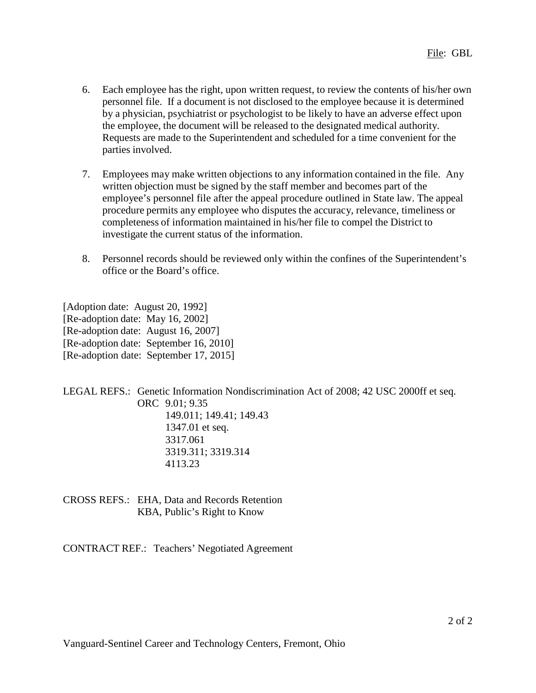- 6. Each employee has the right, upon written request, to review the contents of his/her own personnel file. If a document is not disclosed to the employee because it is determined by a physician, psychiatrist or psychologist to be likely to have an adverse effect upon the employee, the document will be released to the designated medical authority. Requests are made to the Superintendent and scheduled for a time convenient for the parties involved.
- 7. Employees may make written objections to any information contained in the file. Any written objection must be signed by the staff member and becomes part of the employee's personnel file after the appeal procedure outlined in State law. The appeal procedure permits any employee who disputes the accuracy, relevance, timeliness or completeness of information maintained in his/her file to compel the District to investigate the current status of the information.
- 8. Personnel records should be reviewed only within the confines of the Superintendent's office or the Board's office.

[Adoption date: August 20, 1992] [Re-adoption date: May 16, 2002] [Re-adoption date: August 16, 2007] [Re-adoption date: September 16, 2010] [Re-adoption date: September 17, 2015]

LEGAL REFS.: Genetic Information Nondiscrimination Act of 2008; 42 USC 2000ff et seq. ORC 9.01; 9.35 149.011; 149.41; 149.43 1347.01 et seq. 3317.061 3319.311; 3319.314 4113.23

CROSS REFS.: EHA, Data and Records Retention KBA, Public's Right to Know

CONTRACT REF.: Teachers' Negotiated Agreement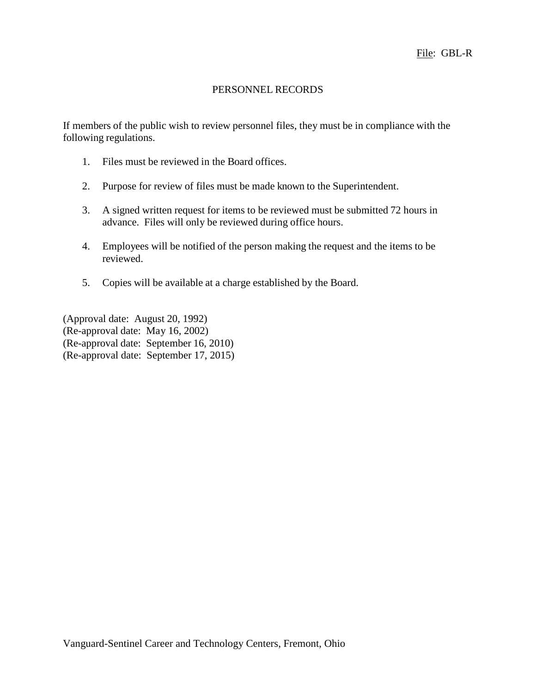### PERSONNEL RECORDS

If members of the public wish to review personnel files, they must be in compliance with the following regulations.

- 1. Files must be reviewed in the Board offices.
- 2. Purpose for review of files must be made known to the Superintendent.
- 3. A signed written request for items to be reviewed must be submitted 72 hours in advance. Files will only be reviewed during office hours.
- 4. Employees will be notified of the person making the request and the items to be reviewed.
- 5. Copies will be available at a charge established by the Board.

(Approval date: August 20, 1992) (Re-approval date: May 16, 2002) (Re-approval date: September 16, 2010) (Re-approval date: September 17, 2015)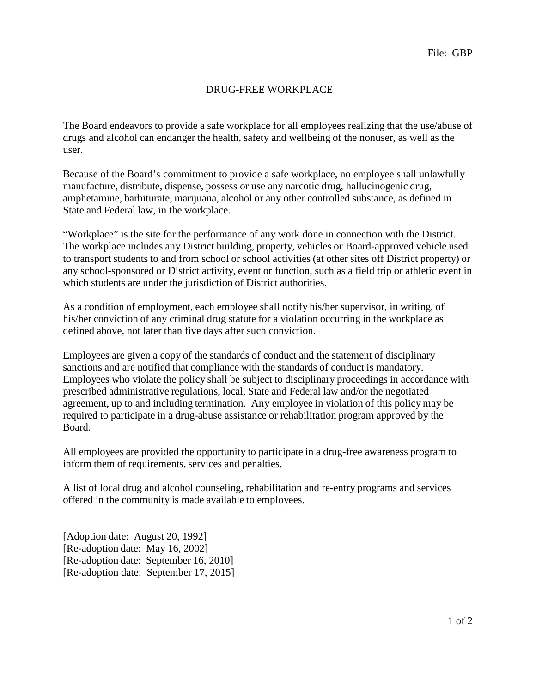## DRUG-FREE WORKPLACE

The Board endeavors to provide a safe workplace for all employees realizing that the use/abuse of drugs and alcohol can endanger the health, safety and wellbeing of the nonuser, as well as the user.

Because of the Board's commitment to provide a safe workplace, no employee shall unlawfully manufacture, distribute, dispense, possess or use any narcotic drug, hallucinogenic drug, amphetamine, barbiturate, marijuana, alcohol or any other controlled substance, as defined in State and Federal law, in the workplace.

"Workplace" is the site for the performance of any work done in connection with the District. The workplace includes any District building, property, vehicles or Board-approved vehicle used to transport students to and from school or school activities (at other sites off District property) or any school-sponsored or District activity, event or function, such as a field trip or athletic event in which students are under the jurisdiction of District authorities.

As a condition of employment, each employee shall notify his/her supervisor, in writing, of his/her conviction of any criminal drug statute for a violation occurring in the workplace as defined above, not later than five days after such conviction.

Employees are given a copy of the standards of conduct and the statement of disciplinary sanctions and are notified that compliance with the standards of conduct is mandatory. Employees who violate the policy shall be subject to disciplinary proceedings in accordance with prescribed administrative regulations, local, State and Federal law and/or the negotiated agreement, up to and including termination. Any employee in violation of this policy may be required to participate in a drug-abuse assistance or rehabilitation program approved by the Board.

All employees are provided the opportunity to participate in a drug-free awareness program to inform them of requirements, services and penalties.

A list of local drug and alcohol counseling, rehabilitation and re-entry programs and services offered in the community is made available to employees.

[Adoption date: August 20, 1992] [Re-adoption date: May 16, 2002] [Re-adoption date: September 16, 2010] [Re-adoption date: September 17, 2015]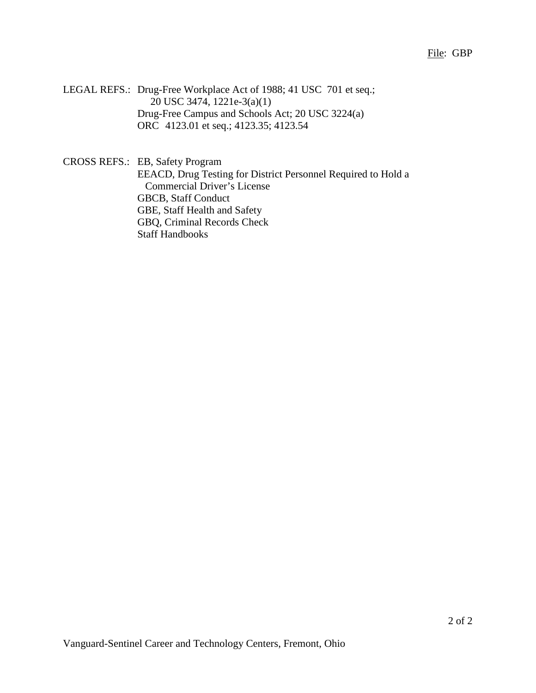File: GBP

LEGAL REFS.: Drug-Free Workplace Act of 1988; 41 USC 701 et seq.; 20 USC 3474, 1221e-3(a)(1) Drug-Free Campus and Schools Act; 20 USC 3224(a) ORC 4123.01 et seq.; 4123.35; 4123.54

CROSS REFS.: EB, Safety Program EEACD, Drug Testing for District Personnel Required to Hold a Commercial Driver's License GBCB, Staff Conduct GBE, Staff Health and Safety GBQ, Criminal Records Check Staff Handbooks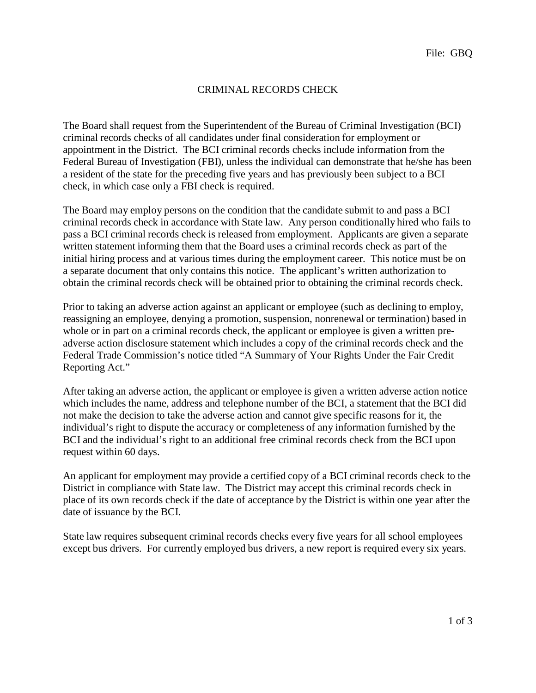## CRIMINAL RECORDS CHECK

The Board shall request from the Superintendent of the Bureau of Criminal Investigation (BCI) criminal records checks of all candidates under final consideration for employment or appointment in the District. The BCI criminal records checks include information from the Federal Bureau of Investigation (FBI), unless the individual can demonstrate that he/she has been a resident of the state for the preceding five years and has previously been subject to a BCI check, in which case only a FBI check is required.

The Board may employ persons on the condition that the candidate submit to and pass a BCI criminal records check in accordance with State law. Any person conditionally hired who fails to pass a BCI criminal records check is released from employment. Applicants are given a separate written statement informing them that the Board uses a criminal records check as part of the initial hiring process and at various times during the employment career. This notice must be on a separate document that only contains this notice. The applicant's written authorization to obtain the criminal records check will be obtained prior to obtaining the criminal records check.

Prior to taking an adverse action against an applicant or employee (such as declining to employ, reassigning an employee, denying a promotion, suspension, nonrenewal or termination) based in whole or in part on a criminal records check, the applicant or employee is given a written preadverse action disclosure statement which includes a copy of the criminal records check and the Federal Trade Commission's notice titled "A Summary of Your Rights Under the Fair Credit Reporting Act."

After taking an adverse action, the applicant or employee is given a written adverse action notice which includes the name, address and telephone number of the BCI, a statement that the BCI did not make the decision to take the adverse action and cannot give specific reasons for it, the individual's right to dispute the accuracy or completeness of any information furnished by the BCI and the individual's right to an additional free criminal records check from the BCI upon request within 60 days.

An applicant for employment may provide a certified copy of a BCI criminal records check to the District in compliance with State law. The District may accept this criminal records check in place of its own records check if the date of acceptance by the District is within one year after the date of issuance by the BCI.

State law requires subsequent criminal records checks every five years for all school employees except bus drivers. For currently employed bus drivers, a new report is required every six years.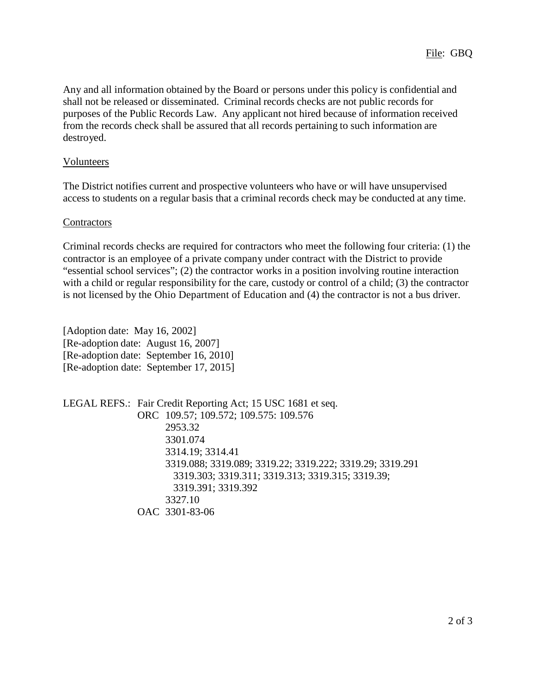Any and all information obtained by the Board or persons under this policy is confidential and shall not be released or disseminated. Criminal records checks are not public records for purposes of the Public Records Law. Any applicant not hired because of information received from the records check shall be assured that all records pertaining to such information are destroyed.

#### Volunteers

The District notifies current and prospective volunteers who have or will have unsupervised access to students on a regular basis that a criminal records check may be conducted at any time.

#### **Contractors**

Criminal records checks are required for contractors who meet the following four criteria: (1) the contractor is an employee of a private company under contract with the District to provide "essential school services"; (2) the contractor works in a position involving routine interaction with a child or regular responsibility for the care, custody or control of a child; (3) the contractor is not licensed by the Ohio Department of Education and (4) the contractor is not a bus driver.

[Adoption date: May 16, 2002] [Re-adoption date: August 16, 2007] [Re-adoption date: September 16, 2010] [Re-adoption date: September 17, 2015]

LEGAL REFS.: Fair Credit Reporting Act; 15 USC 1681 et seq. ORC 109.57; 109.572; 109.575: 109.576 2953.32 3301.074 3314.19; 3314.41 3319.088; 3319.089; 3319.22; 3319.222; 3319.29; 3319.291 3319.303; 3319.311; 3319.313; 3319.315; 3319.39; 3319.391; 3319.392 3327.10 OAC 3301-83-06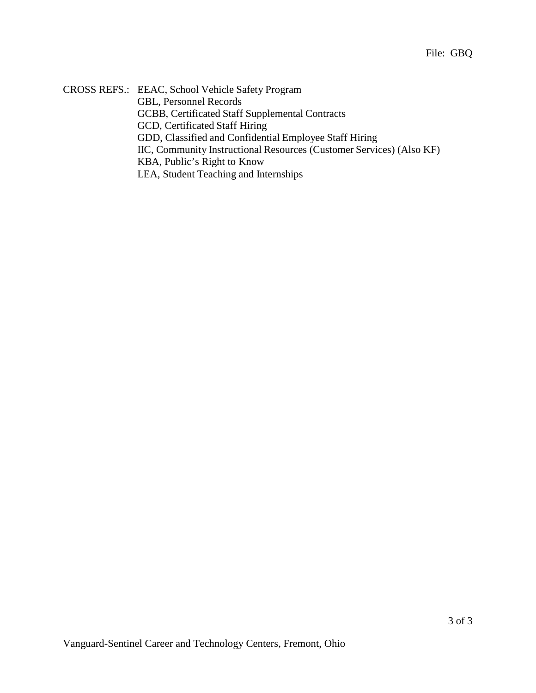CROSS REFS.: EEAC, School Vehicle Safety Program GBL, Personnel Records GCBB, Certificated Staff Supplemental Contracts GCD, Certificated Staff Hiring GDD, Classified and Confidential Employee Staff Hiring IIC, Community Instructional Resources (Customer Services) (Also KF) KBA, Public's Right to Know LEA, Student Teaching and Internships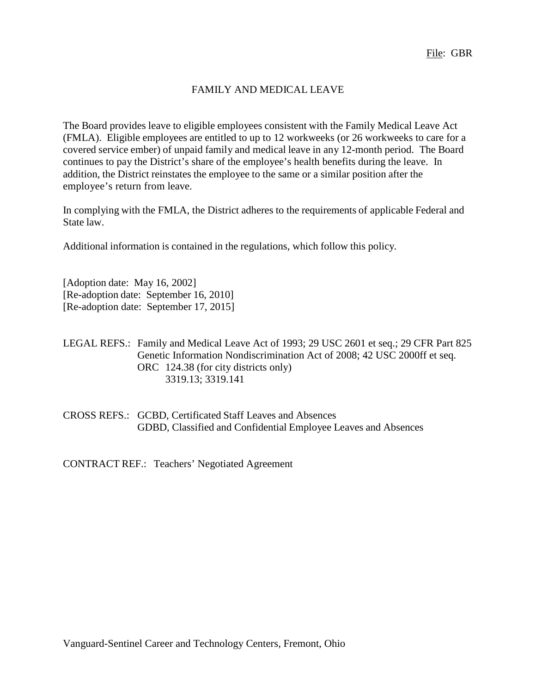## FAMILY AND MEDICAL LEAVE

The Board provides leave to eligible employees consistent with the Family Medical Leave Act (FMLA). Eligible employees are entitled to up to 12 workweeks (or 26 workweeks to care for a covered service ember) of unpaid family and medical leave in any 12-month period. The Board continues to pay the District's share of the employee's health benefits during the leave. In addition, the District reinstates the employee to the same or a similar position after the employee's return from leave.

In complying with the FMLA, the District adheres to the requirements of applicable Federal and State law.

Additional information is contained in the regulations, which follow this policy.

[Adoption date: May 16, 2002] [Re-adoption date: September 16, 2010] [Re-adoption date: September 17, 2015]

#### LEGAL REFS.: Family and Medical Leave Act of 1993; 29 USC 2601 et seq.; 29 CFR Part 825 Genetic Information Nondiscrimination Act of 2008; 42 USC 2000ff et seq. ORC 124.38 (for city districts only) 3319.13; 3319.141

CROSS REFS.: GCBD, Certificated Staff Leaves and Absences GDBD, Classified and Confidential Employee Leaves and Absences

CONTRACT REF.: Teachers' Negotiated Agreement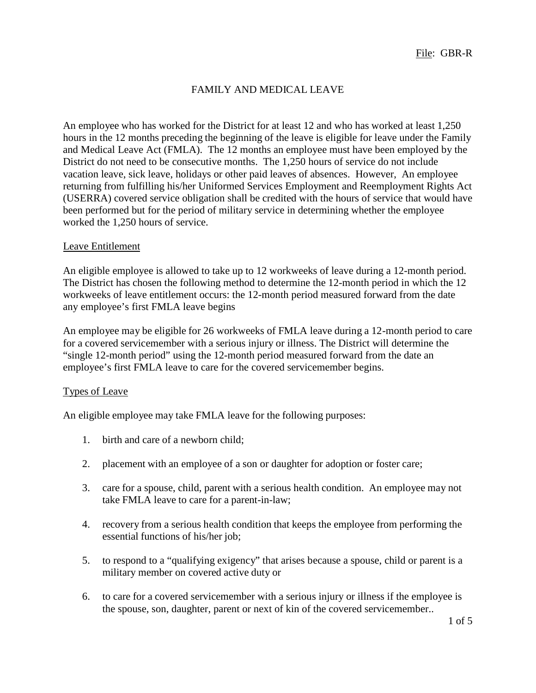## FAMILY AND MEDICAL LEAVE

An employee who has worked for the District for at least 12 and who has worked at least 1,250 hours in the 12 months preceding the beginning of the leave is eligible for leave under the Family and Medical Leave Act (FMLA). The 12 months an employee must have been employed by the District do not need to be consecutive months. The 1,250 hours of service do not include vacation leave, sick leave, holidays or other paid leaves of absences. However, An employee returning from fulfilling his/her Uniformed Services Employment and Reemployment Rights Act (USERRA) covered service obligation shall be credited with the hours of service that would have been performed but for the period of military service in determining whether the employee worked the 1,250 hours of service.

#### Leave Entitlement

An eligible employee is allowed to take up to 12 workweeks of leave during a 12-month period. The District has chosen the following method to determine the 12-month period in which the 12 workweeks of leave entitlement occurs: the 12-month period measured forward from the date any employee's first FMLA leave begins

An employee may be eligible for 26 workweeks of FMLA leave during a 12-month period to care for a covered servicemember with a serious injury or illness. The District will determine the "single 12-month period" using the 12-month period measured forward from the date an employee's first FMLA leave to care for the covered servicemember begins.

#### Types of Leave

An eligible employee may take FMLA leave for the following purposes:

- 1. birth and care of a newborn child;
- 2. placement with an employee of a son or daughter for adoption or foster care;
- 3. care for a spouse, child, parent with a serious health condition. An employee may not take FMLA leave to care for a parent-in-law;
- 4. recovery from a serious health condition that keeps the employee from performing the essential functions of his/her job;
- 5. to respond to a "qualifying exigency" that arises because a spouse, child or parent is a military member on covered active duty or
- 6. to care for a covered servicemember with a serious injury or illness if the employee is the spouse, son, daughter, parent or next of kin of the covered servicemember..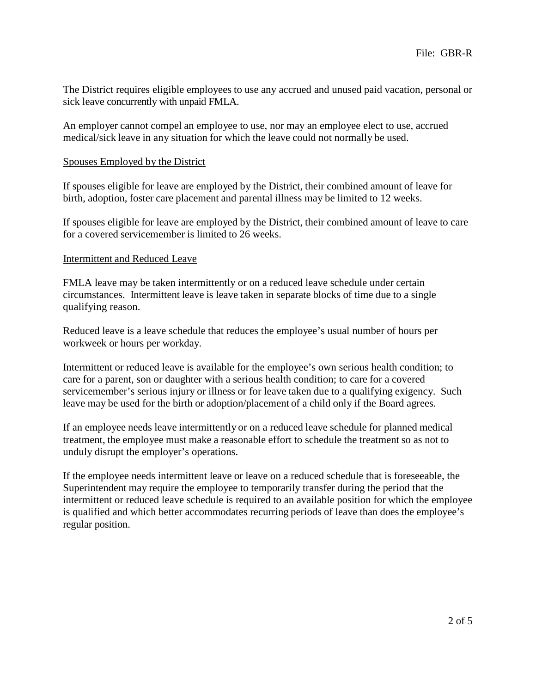The District requires eligible employees to use any accrued and unused paid vacation, personal or sick leave concurrently with unpaid FMLA.

An employer cannot compel an employee to use, nor may an employee elect to use, accrued medical/sick leave in any situation for which the leave could not normally be used.

#### Spouses Employed by the District

If spouses eligible for leave are employed by the District, their combined amount of leave for birth, adoption, foster care placement and parental illness may be limited to 12 weeks.

If spouses eligible for leave are employed by the District, their combined amount of leave to care for a covered servicemember is limited to 26 weeks.

#### Intermittent and Reduced Leave

FMLA leave may be taken intermittently or on a reduced leave schedule under certain circumstances. Intermittent leave is leave taken in separate blocks of time due to a single qualifying reason.

Reduced leave is a leave schedule that reduces the employee's usual number of hours per workweek or hours per workday.

Intermittent or reduced leave is available for the employee's own serious health condition; to care for a parent, son or daughter with a serious health condition; to care for a covered servicemember's serious injury or illness or for leave taken due to a qualifying exigency. Such leave may be used for the birth or adoption/placement of a child only if the Board agrees.

If an employee needs leave intermittently or on a reduced leave schedule for planned medical treatment, the employee must make a reasonable effort to schedule the treatment so as not to unduly disrupt the employer's operations.

If the employee needs intermittent leave or leave on a reduced schedule that is foreseeable, the Superintendent may require the employee to temporarily transfer during the period that the intermittent or reduced leave schedule is required to an available position for which the employee is qualified and which better accommodates recurring periods of leave than does the employee's regular position.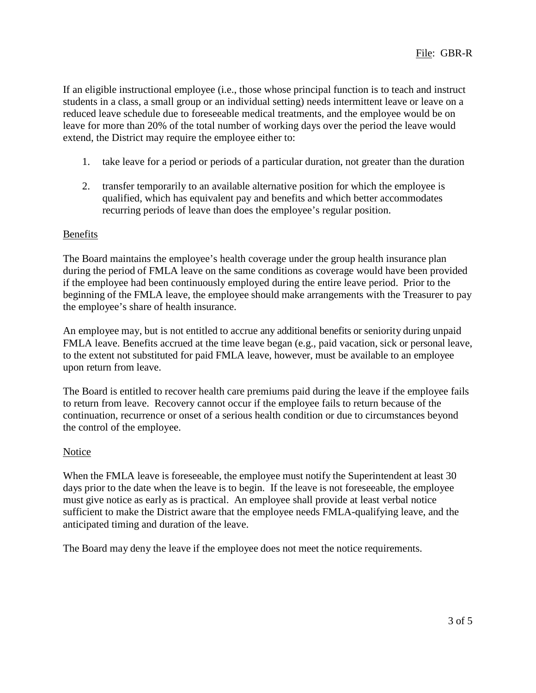If an eligible instructional employee (i.e., those whose principal function is to teach and instruct students in a class, a small group or an individual setting) needs intermittent leave or leave on a reduced leave schedule due to foreseeable medical treatments, and the employee would be on leave for more than 20% of the total number of working days over the period the leave would extend, the District may require the employee either to:

- 1. take leave for a period or periods of a particular duration, not greater than the duration
- 2. transfer temporarily to an available alternative position for which the employee is qualified, which has equivalent pay and benefits and which better accommodates recurring periods of leave than does the employee's regular position.

#### Benefits

The Board maintains the employee's health coverage under the group health insurance plan during the period of FMLA leave on the same conditions as coverage would have been provided if the employee had been continuously employed during the entire leave period. Prior to the beginning of the FMLA leave, the employee should make arrangements with the Treasurer to pay the employee's share of health insurance.

An employee may, but is not entitled to accrue any additional benefits or seniority during unpaid FMLA leave. Benefits accrued at the time leave began (e.g., paid vacation, sick or personal leave, to the extent not substituted for paid FMLA leave, however, must be available to an employee upon return from leave.

The Board is entitled to recover health care premiums paid during the leave if the employee fails to return from leave. Recovery cannot occur if the employee fails to return because of the continuation, recurrence or onset of a serious health condition or due to circumstances beyond the control of the employee.

#### **Notice**

When the FMLA leave is foreseeable, the employee must notify the Superintendent at least 30 days prior to the date when the leave is to begin. If the leave is not foreseeable, the employee must give notice as early as is practical. An employee shall provide at least verbal notice sufficient to make the District aware that the employee needs FMLA-qualifying leave, and the anticipated timing and duration of the leave.

The Board may deny the leave if the employee does not meet the notice requirements.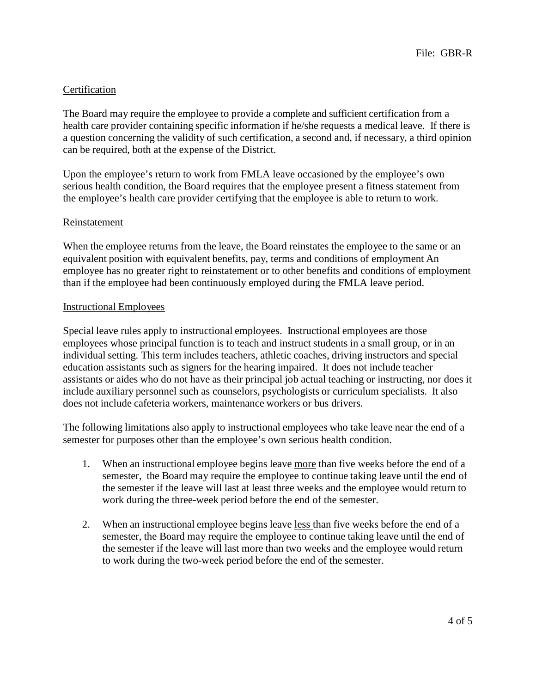## **Certification**

The Board may require the employee to provide a complete and sufficient certification from a health care provider containing specific information if he/she requests a medical leave. If there is a question concerning the validity of such certification, a second and, if necessary, a third opinion can be required, both at the expense of the District.

Upon the employee's return to work from FMLA leave occasioned by the employee's own serious health condition, the Board requires that the employee present a fitness statement from the employee's health care provider certifying that the employee is able to return to work.

### Reinstatement

When the employee returns from the leave, the Board reinstates the employee to the same or an equivalent position with equivalent benefits, pay, terms and conditions of employment An employee has no greater right to reinstatement or to other benefits and conditions of employment than if the employee had been continuously employed during the FMLA leave period.

#### Instructional Employees

Special leave rules apply to instructional employees. Instructional employees are those employees whose principal function is to teach and instruct students in a small group, or in an individual setting. This term includes teachers, athletic coaches, driving instructors and special education assistants such as signers for the hearing impaired. It does not include teacher assistants or aides who do not have as their principal job actual teaching or instructing, nor does it include auxiliary personnel such as counselors, psychologists or curriculum specialists. It also does not include cafeteria workers, maintenance workers or bus drivers.

The following limitations also apply to instructional employees who take leave near the end of a semester for purposes other than the employee's own serious health condition.

- 1. When an instructional employee begins leave more than five weeks before the end of a semester, the Board may require the employee to continue taking leave until the end of the semester if the leave will last at least three weeks and the employee would return to work during the three-week period before the end of the semester.
- 2. When an instructional employee begins leave less than five weeks before the end of a semester, the Board may require the employee to continue taking leave until the end of the semester if the leave will last more than two weeks and the employee would return to work during the two-week period before the end of the semester.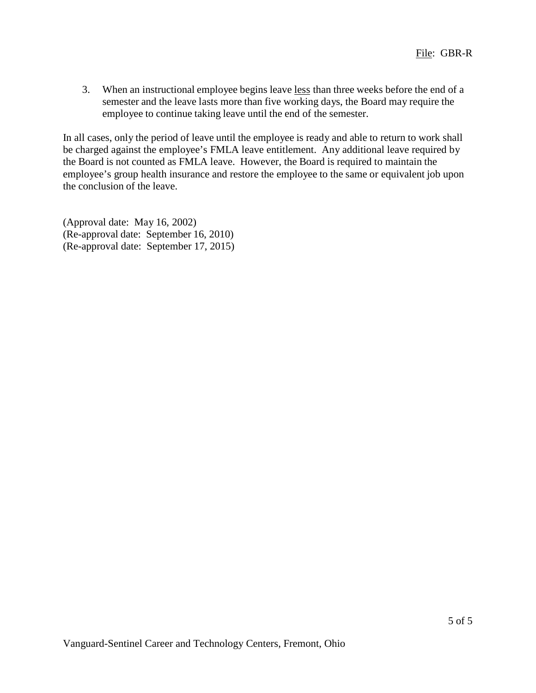3. When an instructional employee begins leave less than three weeks before the end of a semester and the leave lasts more than five working days, the Board may require the employee to continue taking leave until the end of the semester.

In all cases, only the period of leave until the employee is ready and able to return to work shall be charged against the employee's FMLA leave entitlement. Any additional leave required by the Board is not counted as FMLA leave. However, the Board is required to maintain the employee's group health insurance and restore the employee to the same or equivalent job upon the conclusion of the leave.

(Approval date: May 16, 2002) (Re-approval date: September 16, 2010) (Re-approval date: September 17, 2015)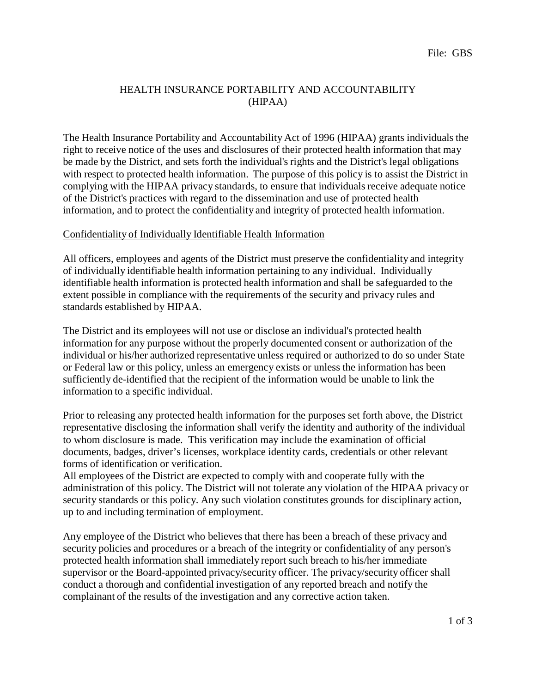## HEALTH INSURANCE PORTABILITY AND ACCOUNTABILITY (HIPAA)

The Health Insurance Portability and Accountability Act of 1996 (HIPAA) grants individuals the right to receive notice of the uses and disclosures of their protected health information that may be made by the District, and sets forth the individual's rights and the District's legal obligations with respect to protected health information. The purpose of this policy is to assist the District in complying with the HIPAA privacy standards, to ensure that individuals receive adequate notice of the District's practices with regard to the dissemination and use of protected health information, and to protect the confidentiality and integrity of protected health information.

#### Confidentiality of Individually Identifiable Health Information

All officers, employees and agents of the District must preserve the confidentiality and integrity of individually identifiable health information pertaining to any individual. Individually identifiable health information is protected health information and shall be safeguarded to the extent possible in compliance with the requirements of the security and privacy rules and standards established by HIPAA.

The District and its employees will not use or disclose an individual's protected health information for any purpose without the properly documented consent or authorization of the individual or his/her authorized representative unless required or authorized to do so under State or Federal law or this policy, unless an emergency exists or unless the information has been sufficiently de-identified that the recipient of the information would be unable to link the information to a specific individual.

Prior to releasing any protected health information for the purposes set forth above, the District representative disclosing the information shall verify the identity and authority of the individual to whom disclosure is made. This verification may include the examination of official documents, badges, driver's licenses, workplace identity cards, credentials or other relevant forms of identification or verification.

All employees of the District are expected to comply with and cooperate fully with the administration of this policy. The District will not tolerate any violation of the HIPAA privacy or security standards or this policy. Any such violation constitutes grounds for disciplinary action, up to and including termination of employment.

Any employee of the District who believes that there has been a breach of these privacy and security policies and procedures or a breach of the integrity or confidentiality of any person's protected health information shall immediately report such breach to his/her immediate supervisor or the Board-appointed privacy/security officer. The privacy/security officer shall conduct a thorough and confidential investigation of any reported breach and notify the complainant of the results of the investigation and any corrective action taken.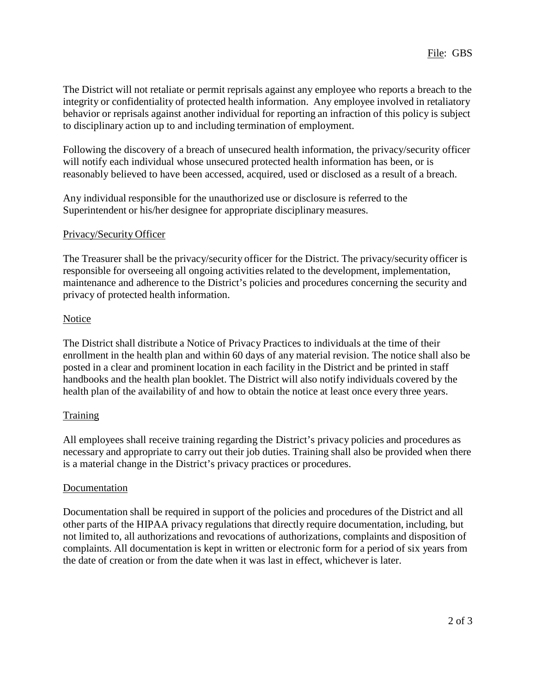The District will not retaliate or permit reprisals against any employee who reports a breach to the integrity or confidentiality of protected health information. Any employee involved in retaliatory behavior or reprisals against another individual for reporting an infraction of this policy is subject to disciplinary action up to and including termination of employment.

Following the discovery of a breach of unsecured health information, the privacy/security officer will notify each individual whose unsecured protected health information has been, or is reasonably believed to have been accessed, acquired, used or disclosed as a result of a breach.

Any individual responsible for the unauthorized use or disclosure is referred to the Superintendent or his/her designee for appropriate disciplinary measures.

## Privacy/Security Officer

The Treasurer shall be the privacy/security officer for the District. The privacy/security officer is responsible for overseeing all ongoing activities related to the development, implementation, maintenance and adherence to the District's policies and procedures concerning the security and privacy of protected health information.

## Notice

The District shall distribute a Notice of Privacy Practices to individuals at the time of their enrollment in the health plan and within 60 days of any material revision. The notice shall also be posted in a clear and prominent location in each facility in the District and be printed in staff handbooks and the health plan booklet. The District will also notify individuals covered by the health plan of the availability of and how to obtain the notice at least once every three years.

## **Training**

All employees shall receive training regarding the District's privacy policies and procedures as necessary and appropriate to carry out their job duties. Training shall also be provided when there is a material change in the District's privacy practices or procedures.

## Documentation

Documentation shall be required in support of the policies and procedures of the District and all other parts of the HIPAA privacy regulations that directly require documentation, including, but not limited to, all authorizations and revocations of authorizations, complaints and disposition of complaints. All documentation is kept in written or electronic form for a period of six years from the date of creation or from the date when it was last in effect, whichever is later.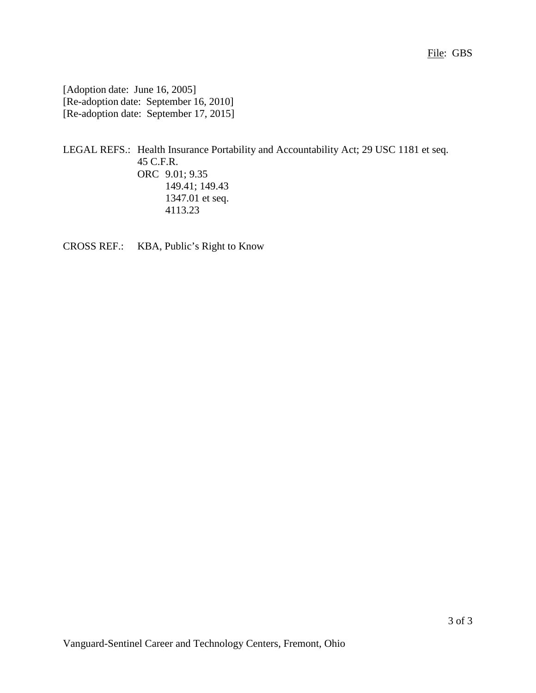[Adoption date: June 16, 2005] [Re-adoption date: September 16, 2010] [Re-adoption date: September 17, 2015]

LEGAL REFS.: Health Insurance Portability and Accountability Act; 29 USC 1181 et seq. 45 C.F.R. ORC 9.01; 9.35 149.41; 149.43 1347.01 et seq. 4113.23

CROSS REF.: KBA, Public's Right to Know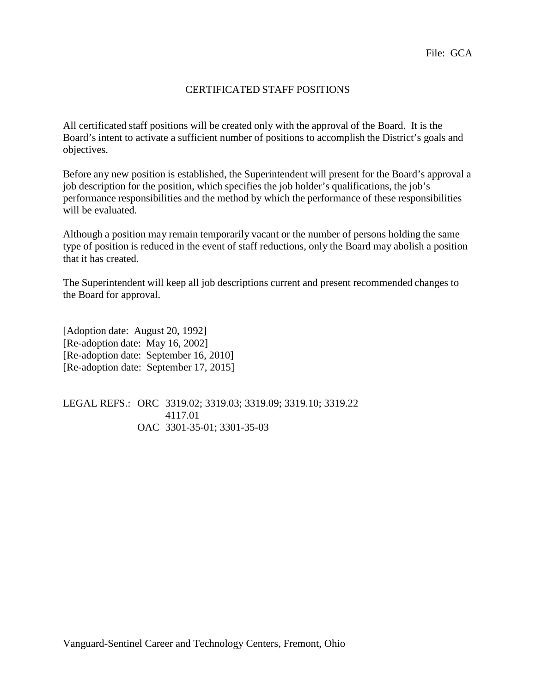# CERTIFICATED STAFF POSITIONS

All certificated staff positions will be created only with the approval of the Board. It is the Board's intent to activate a sufficient number of positions to accomplish the District's goals and objectives.

Before any new position is established, the Superintendent will present for the Board's approval a job description for the position, which specifies the job holder's qualifications, the job's performance responsibilities and the method by which the performance of these responsibilities will be evaluated.

Although a position may remain temporarily vacant or the number of persons holding the same type of position is reduced in the event of staff reductions, only the Board may abolish a position that it has created.

The Superintendent will keep all job descriptions current and present recommended changes to the Board for approval.

[Adoption date: August 20, 1992] [Re-adoption date: May 16, 2002] [Re-adoption date: September 16, 2010] [Re-adoption date: September 17, 2015]

LEGAL REFS.: ORC 3319.02; 3319.03; 3319.09; 3319.10; 3319.22 4117.01 OAC 3301-35-01; 3301-35-03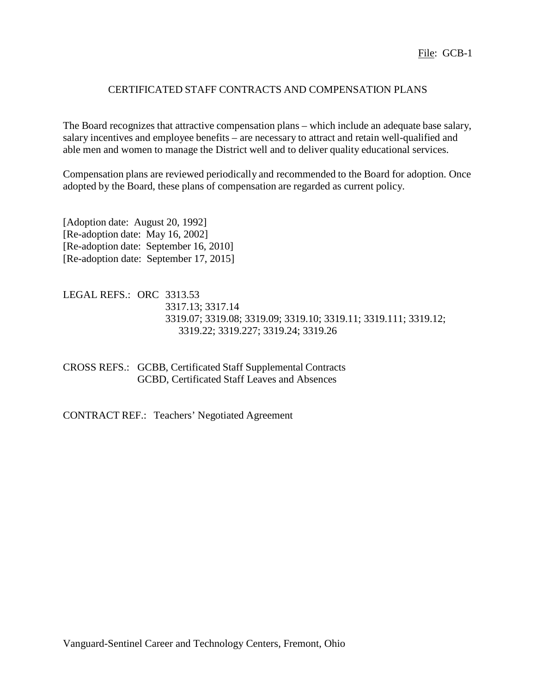## CERTIFICATED STAFF CONTRACTS AND COMPENSATION PLANS

The Board recognizes that attractive compensation plans – which include an adequate base salary, salary incentives and employee benefits – are necessary to attract and retain well-qualified and able men and women to manage the District well and to deliver quality educational services.

Compensation plans are reviewed periodically and recommended to the Board for adoption. Once adopted by the Board, these plans of compensation are regarded as current policy.

[Adoption date: August 20, 1992] [Re-adoption date: May 16, 2002] [Re-adoption date: September 16, 2010] [Re-adoption date: September 17, 2015]

LEGAL REFS.: ORC 3313.53 3317.13; 3317.14 3319.07; 3319.08; 3319.09; 3319.10; 3319.11; 3319.111; 3319.12; 3319.22; 3319.227; 3319.24; 3319.26

CROSS REFS.: GCBB, Certificated Staff Supplemental Contracts GCBD, Certificated Staff Leaves and Absences

CONTRACT REF.: Teachers' Negotiated Agreement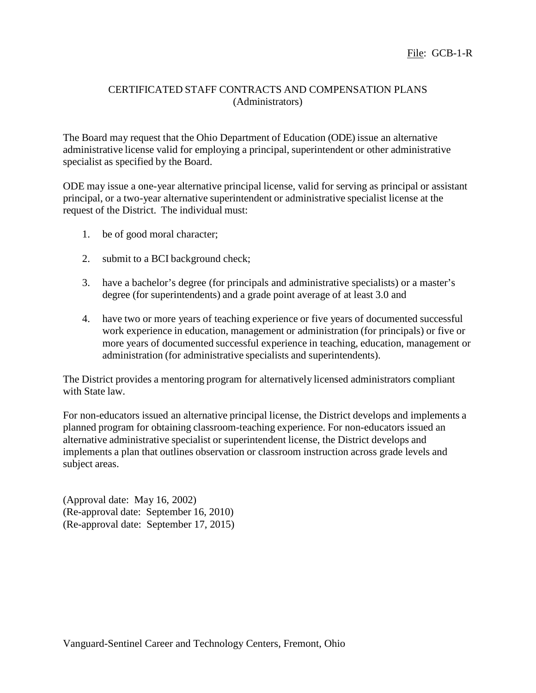## CERTIFICATED STAFF CONTRACTS AND COMPENSATION PLANS (Administrators)

The Board may request that the Ohio Department of Education (ODE) issue an alternative administrative license valid for employing a principal, superintendent or other administrative specialist as specified by the Board.

ODE may issue a one-year alternative principal license, valid for serving as principal or assistant principal, or a two-year alternative superintendent or administrative specialist license at the request of the District. The individual must:

- 1. be of good moral character;
- 2. submit to a BCI background check;
- 3. have a bachelor's degree (for principals and administrative specialists) or a master's degree (for superintendents) and a grade point average of at least 3.0 and
- 4. have two or more years of teaching experience or five years of documented successful work experience in education, management or administration (for principals) or five or more years of documented successful experience in teaching, education, management or administration (for administrative specialists and superintendents).

The District provides a mentoring program for alternatively licensed administrators compliant with State law.

For non-educators issued an alternative principal license, the District develops and implements a planned program for obtaining classroom-teaching experience. For non-educators issued an alternative administrative specialist or superintendent license, the District develops and implements a plan that outlines observation or classroom instruction across grade levels and subject areas.

(Approval date: May 16, 2002) (Re-approval date: September 16, 2010) (Re-approval date: September 17, 2015)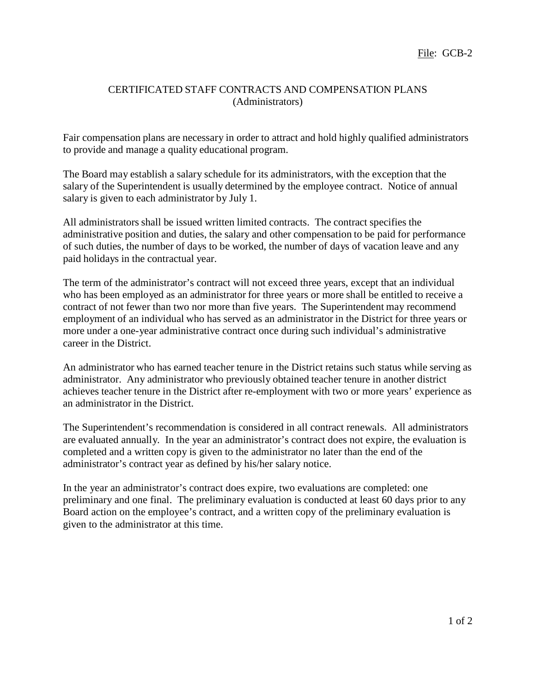## CERTIFICATED STAFF CONTRACTS AND COMPENSATION PLANS (Administrators)

Fair compensation plans are necessary in order to attract and hold highly qualified administrators to provide and manage a quality educational program.

The Board may establish a salary schedule for its administrators, with the exception that the salary of the Superintendent is usually determined by the employee contract. Notice of annual salary is given to each administrator by July 1.

All administrators shall be issued written limited contracts. The contract specifies the administrative position and duties, the salary and other compensation to be paid for performance of such duties, the number of days to be worked, the number of days of vacation leave and any paid holidays in the contractual year.

The term of the administrator's contract will not exceed three years, except that an individual who has been employed as an administrator for three years or more shall be entitled to receive a contract of not fewer than two nor more than five years. The Superintendent may recommend employment of an individual who has served as an administrator in the District for three years or more under a one-year administrative contract once during such individual's administrative career in the District.

An administrator who has earned teacher tenure in the District retains such status while serving as administrator. Any administrator who previously obtained teacher tenure in another district achieves teacher tenure in the District after re-employment with two or more years' experience as an administrator in the District.

The Superintendent's recommendation is considered in all contract renewals. All administrators are evaluated annually. In the year an administrator's contract does not expire, the evaluation is completed and a written copy is given to the administrator no later than the end of the administrator's contract year as defined by his/her salary notice.

In the year an administrator's contract does expire, two evaluations are completed: one preliminary and one final. The preliminary evaluation is conducted at least 60 days prior to any Board action on the employee's contract, and a written copy of the preliminary evaluation is given to the administrator at this time.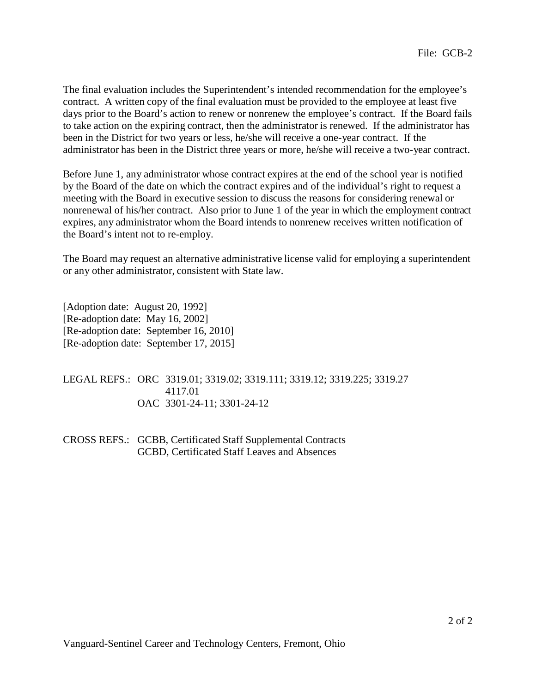The final evaluation includes the Superintendent's intended recommendation for the employee's contract. A written copy of the final evaluation must be provided to the employee at least five days prior to the Board's action to renew or nonrenew the employee's contract. If the Board fails to take action on the expiring contract, then the administrator is renewed. If the administrator has been in the District for two years or less, he/she will receive a one-year contract. If the administrator has been in the District three years or more, he/she will receive a two-year contract.

Before June 1, any administrator whose contract expires at the end of the school year is notified by the Board of the date on which the contract expires and of the individual's right to request a meeting with the Board in executive session to discuss the reasons for considering renewal or nonrenewal of his/her contract. Also prior to June 1 of the year in which the employment contract expires, any administrator whom the Board intends to nonrenew receives written notification of the Board's intent not to re-employ.

The Board may request an alternative administrative license valid for employing a superintendent or any other administrator, consistent with State law.

[Adoption date: August 20, 1992] [Re-adoption date: May 16, 2002] [Re-adoption date: September 16, 2010] [Re-adoption date: September 17, 2015]

LEGAL REFS.: ORC 3319.01; 3319.02; 3319.111; 3319.12; 3319.225; 3319.27 4117.01 OAC 3301-24-11; 3301-24-12

CROSS REFS.: GCBB, Certificated Staff Supplemental Contracts GCBD, Certificated Staff Leaves and Absences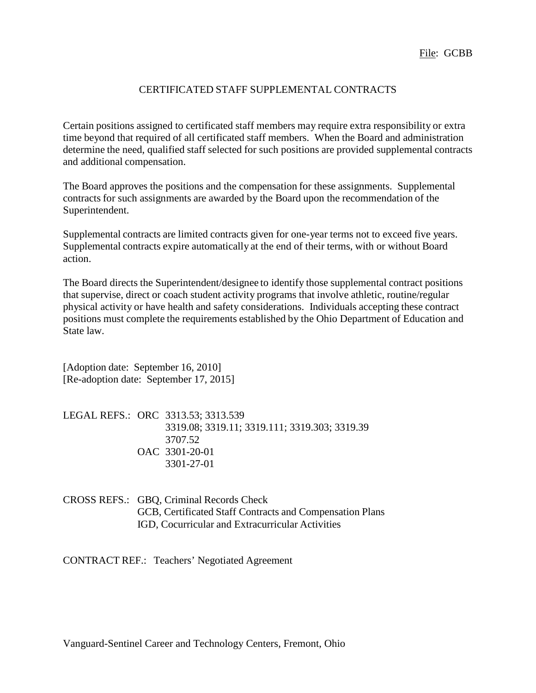## CERTIFICATED STAFF SUPPLEMENTAL CONTRACTS

Certain positions assigned to certificated staff members may require extra responsibility or extra time beyond that required of all certificated staff members. When the Board and administration determine the need, qualified staff selected for such positions are provided supplemental contracts and additional compensation.

The Board approves the positions and the compensation for these assignments. Supplemental contracts for such assignments are awarded by the Board upon the recommendation of the Superintendent.

Supplemental contracts are limited contracts given for one-year terms not to exceed five years. Supplemental contracts expire automatically at the end of their terms, with or without Board action.

The Board directs the Superintendent/designee to identify those supplemental contract positions that supervise, direct or coach student activity programs that involve athletic, routine/regular physical activity or have health and safety considerations. Individuals accepting these contract positions must complete the requirements established by the Ohio Department of Education and State law.

[Adoption date: September 16, 2010] [Re-adoption date: September 17, 2015]

|  | LEGAL REFS.: ORC 3313.53; 3313.539            |
|--|-----------------------------------------------|
|  | 3319.08; 3319.11; 3319.111; 3319.303; 3319.39 |
|  | 3707.52                                       |
|  | OAC 3301-20-01                                |
|  | 3301-27-01                                    |

CROSS REFS.: GBQ, Criminal Records Check GCB, Certificated Staff Contracts and Compensation Plans IGD, Cocurricular and Extracurricular Activities

CONTRACT REF.: Teachers' Negotiated Agreement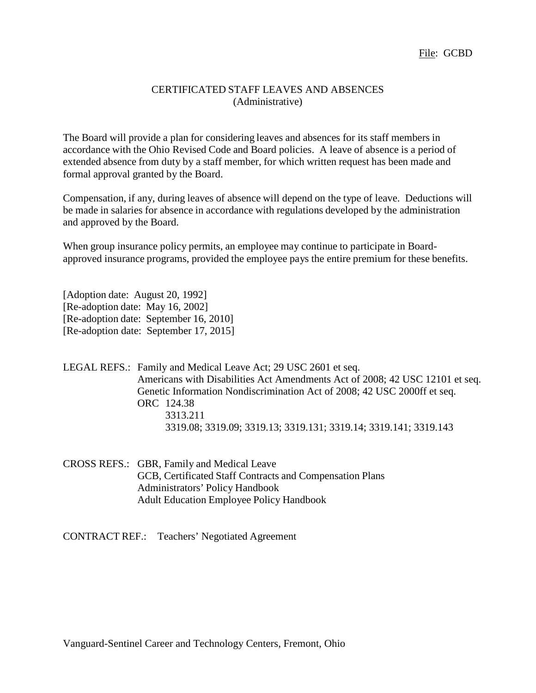### CERTIFICATED STAFF LEAVES AND ABSENCES (Administrative)

The Board will provide a plan for considering leaves and absences for its staff members in accordance with the Ohio Revised Code and Board policies. A leave of absence is a period of extended absence from duty by a staff member, for which written request has been made and formal approval granted by the Board.

Compensation, if any, during leaves of absence will depend on the type of leave. Deductions will be made in salaries for absence in accordance with regulations developed by the administration and approved by the Board.

When group insurance policy permits, an employee may continue to participate in Boardapproved insurance programs, provided the employee pays the entire premium for these benefits.

[Adoption date: August 20, 1992] [Re-adoption date: May 16, 2002] [Re-adoption date: September 16, 2010] [Re-adoption date: September 17, 2015]

LEGAL REFS.: Family and Medical Leave Act; 29 USC 2601 et seq. Americans with Disabilities Act Amendments Act of 2008; 42 USC 12101 et seq. Genetic Information Nondiscrimination Act of 2008; 42 USC 2000ff et seq. ORC 124.38 3313.211 3319.08; 3319.09; 3319.13; 3319.131; 3319.14; 3319.141; 3319.143

CROSS REFS.: GBR, Family and Medical Leave GCB, Certificated Staff Contracts and Compensation Plans Administrators' Policy Handbook Adult Education Employee Policy Handbook

CONTRACT REF.: Teachers' Negotiated Agreement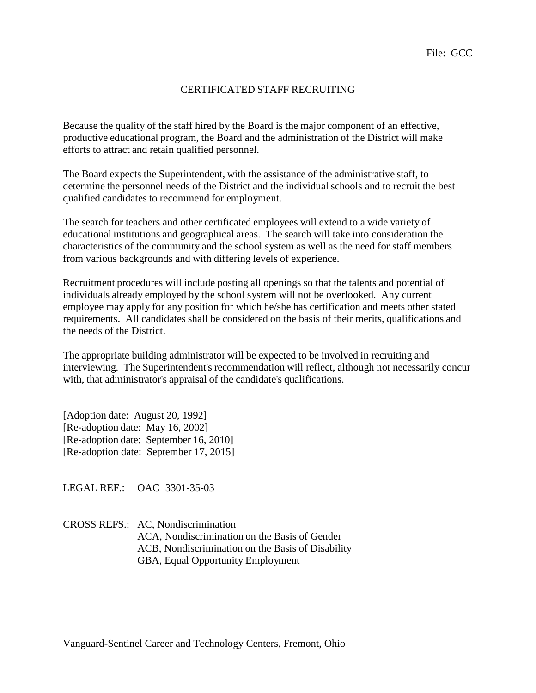# CERTIFICATED STAFF RECRUITING

Because the quality of the staff hired by the Board is the major component of an effective, productive educational program, the Board and the administration of the District will make efforts to attract and retain qualified personnel.

The Board expects the Superintendent, with the assistance of the administrative staff, to determine the personnel needs of the District and the individual schools and to recruit the best qualified candidates to recommend for employment.

The search for teachers and other certificated employees will extend to a wide variety of educational institutions and geographical areas. The search will take into consideration the characteristics of the community and the school system as well as the need for staff members from various backgrounds and with differing levels of experience.

Recruitment procedures will include posting all openings so that the talents and potential of individuals already employed by the school system will not be overlooked. Any current employee may apply for any position for which he/she has certification and meets other stated requirements. All candidates shall be considered on the basis of their merits, qualifications and the needs of the District.

The appropriate building administrator will be expected to be involved in recruiting and interviewing. The Superintendent's recommendation will reflect, although not necessarily concur with, that administrator's appraisal of the candidate's qualifications.

[Adoption date: August 20, 1992] [Re-adoption date: May 16, 2002] [Re-adoption date: September 16, 2010] [Re-adoption date: September 17, 2015]

LEGAL REF.: OAC 3301-35-03

CROSS REFS.: AC, Nondiscrimination ACA, Nondiscrimination on the Basis of Gender ACB, Nondiscrimination on the Basis of Disability GBA, Equal Opportunity Employment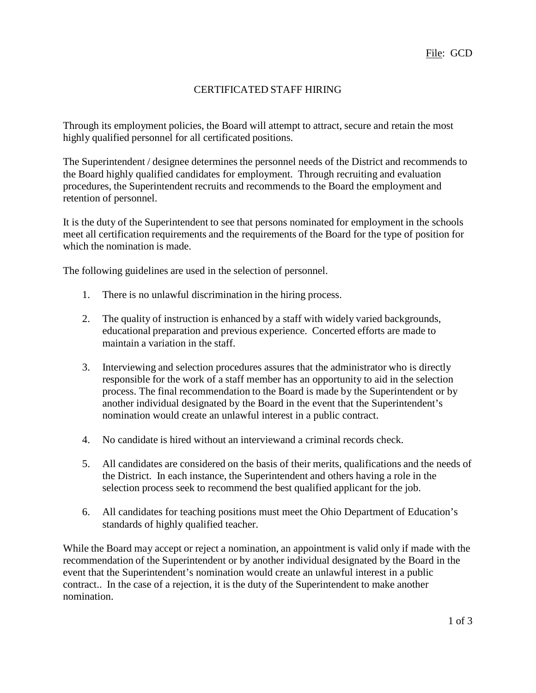# CERTIFICATED STAFF HIRING

Through its employment policies, the Board will attempt to attract, secure and retain the most highly qualified personnel for all certificated positions.

The Superintendent / designee determines the personnel needs of the District and recommends to the Board highly qualified candidates for employment. Through recruiting and evaluation procedures, the Superintendent recruits and recommends to the Board the employment and retention of personnel.

It is the duty of the Superintendent to see that persons nominated for employment in the schools meet all certification requirements and the requirements of the Board for the type of position for which the nomination is made.

The following guidelines are used in the selection of personnel.

- 1. There is no unlawful discrimination in the hiring process.
- 2. The quality of instruction is enhanced by a staff with widely varied backgrounds, educational preparation and previous experience. Concerted efforts are made to maintain a variation in the staff.
- 3. Interviewing and selection procedures assures that the administrator who is directly responsible for the work of a staff member has an opportunity to aid in the selection process. The final recommendation to the Board is made by the Superintendent or by another individual designated by the Board in the event that the Superintendent's nomination would create an unlawful interest in a public contract.
- 4. No candidate is hired without an interviewand a criminal records check.
- 5. All candidates are considered on the basis of their merits, qualifications and the needs of the District. In each instance, the Superintendent and others having a role in the selection process seek to recommend the best qualified applicant for the job.
- 6. All candidates for teaching positions must meet the Ohio Department of Education's standards of highly qualified teacher.

While the Board may accept or reject a nomination, an appointment is valid only if made with the recommendation of the Superintendent or by another individual designated by the Board in the event that the Superintendent's nomination would create an unlawful interest in a public contract.. In the case of a rejection, it is the duty of the Superintendent to make another nomination.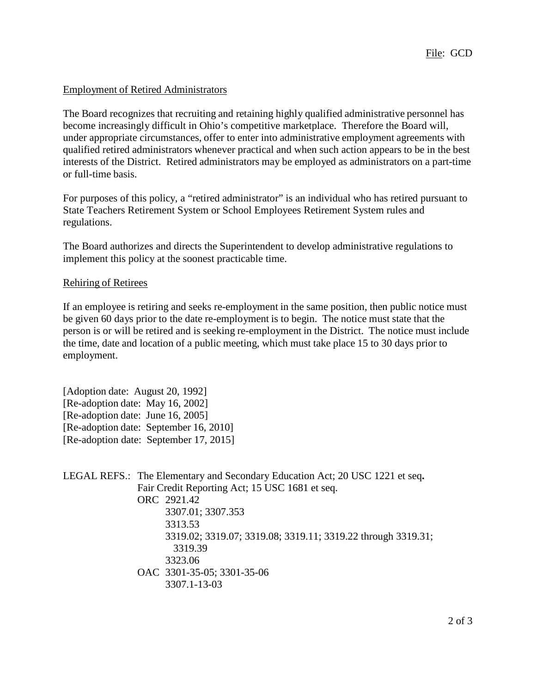## Employment of Retired Administrators

The Board recognizes that recruiting and retaining highly qualified administrative personnel has become increasingly difficult in Ohio's competitive marketplace. Therefore the Board will, under appropriate circumstances, offer to enter into administrative employment agreements with qualified retired administrators whenever practical and when such action appears to be in the best interests of the District. Retired administrators may be employed as administrators on a part-time or full-time basis.

For purposes of this policy, a "retired administrator" is an individual who has retired pursuant to State Teachers Retirement System or School Employees Retirement System rules and regulations.

The Board authorizes and directs the Superintendent to develop administrative regulations to implement this policy at the soonest practicable time.

## Rehiring of Retirees

If an employee is retiring and seeks re-employment in the same position, then public notice must be given 60 days prior to the date re-employment is to begin. The notice must state that the person is or will be retired and is seeking re-employment in the District. The notice must include the time, date and location of a public meeting, which must take place 15 to 30 days prior to employment.

[Adoption date: August 20, 1992] [Re-adoption date: May 16, 2002] [Re-adoption date: June 16, 2005] [Re-adoption date: September 16, 2010] [Re-adoption date: September 17, 2015]

|  | LEGAL REFS.: The Elementary and Secondary Education Act; 20 USC 1221 et seq. |
|--|------------------------------------------------------------------------------|
|  | Fair Credit Reporting Act; 15 USC 1681 et seq.                               |
|  | ORC 2921.42                                                                  |
|  | 3307.01; 3307.353                                                            |
|  | 3313.53                                                                      |
|  | 3319.02; 3319.07; 3319.08; 3319.11; 3319.22 through 3319.31;                 |
|  | 3319.39                                                                      |
|  | 3323.06                                                                      |
|  | OAC 3301-35-05; 3301-35-06                                                   |
|  | 3307.1-13-03                                                                 |
|  |                                                                              |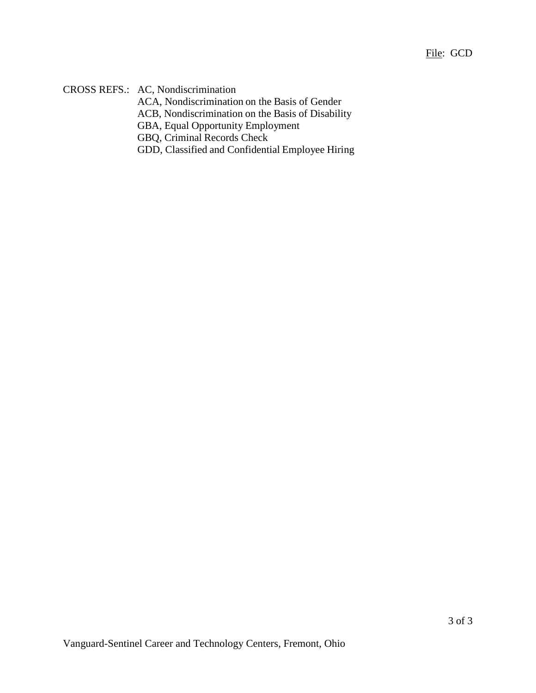CROSS REFS.: AC, Nondiscrimination

ACA, Nondiscrimination on the Basis of Gender

ACB, Nondiscrimination on the Basis of Disability

GBA, Equal Opportunity Employment

GBQ, Criminal Records Check

GDD, Classified and Confidential Employee Hiring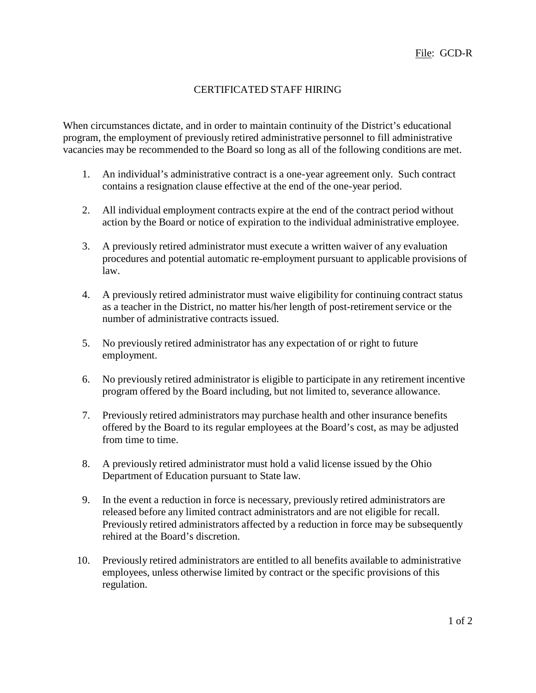# CERTIFICATED STAFF HIRING

When circumstances dictate, and in order to maintain continuity of the District's educational program, the employment of previously retired administrative personnel to fill administrative vacancies may be recommended to the Board so long as all of the following conditions are met.

- 1. An individual's administrative contract is a one-year agreement only. Such contract contains a resignation clause effective at the end of the one-year period.
- 2. All individual employment contracts expire at the end of the contract period without action by the Board or notice of expiration to the individual administrative employee.
- 3. A previously retired administrator must execute a written waiver of any evaluation procedures and potential automatic re-employment pursuant to applicable provisions of law.
- 4. A previously retired administrator must waive eligibility for continuing contract status as a teacher in the District, no matter his/her length of post-retirement service or the number of administrative contracts issued.
- 5. No previously retired administrator has any expectation of or right to future employment.
- 6. No previously retired administrator is eligible to participate in any retirement incentive program offered by the Board including, but not limited to, severance allowance.
- 7. Previously retired administrators may purchase health and other insurance benefits offered by the Board to its regular employees at the Board's cost, as may be adjusted from time to time.
- 8. A previously retired administrator must hold a valid license issued by the Ohio Department of Education pursuant to State law*.*
- 9. In the event a reduction in force is necessary, previously retired administrators are released before any limited contract administrators and are not eligible for recall. Previously retired administrators affected by a reduction in force may be subsequently rehired at the Board's discretion.
- 10. Previously retired administrators are entitled to all benefits available to administrative employees, unless otherwise limited by contract or the specific provisions of this regulation.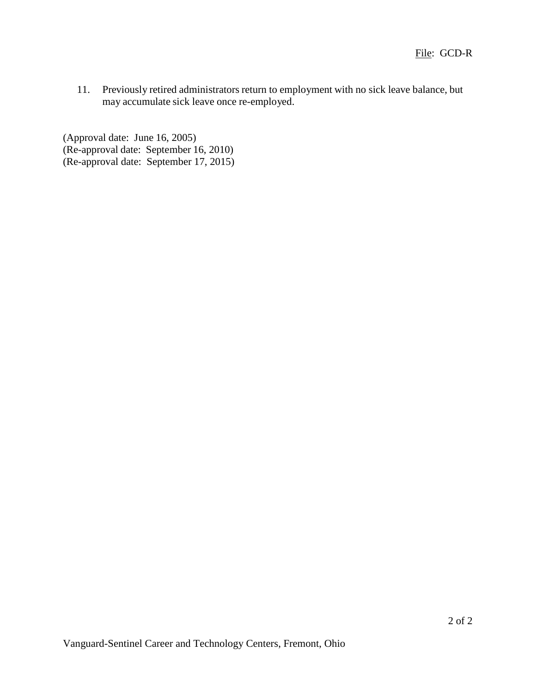11. Previously retired administrators return to employment with no sick leave balance, but may accumulate sick leave once re-employed.

(Approval date: June 16, 2005) (Re-approval date: September 16, 2010) (Re-approval date: September 17, 2015)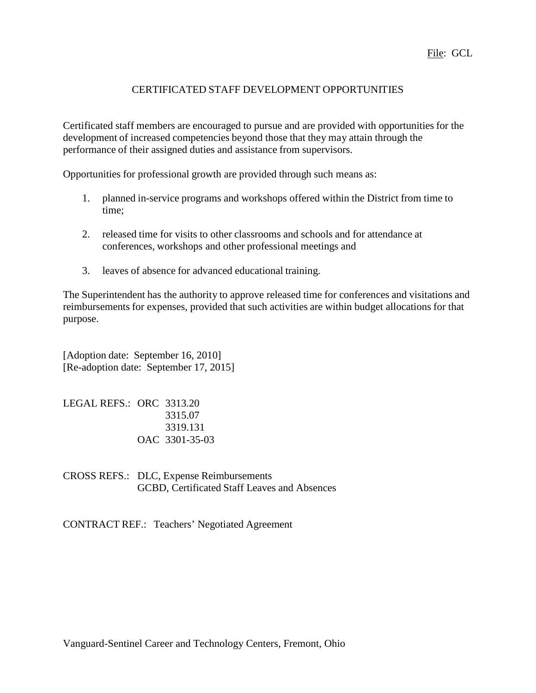File: GCL

# CERTIFICATED STAFF DEVELOPMENT OPPORTUNITIES

Certificated staff members are encouraged to pursue and are provided with opportunities for the development of increased competencies beyond those that they may attain through the performance of their assigned duties and assistance from supervisors.

Opportunities for professional growth are provided through such means as:

- 1. planned in-service programs and workshops offered within the District from time to time;
- 2. released time for visits to other classrooms and schools and for attendance at conferences, workshops and other professional meetings and
- 3. leaves of absence for advanced educational training.

The Superintendent has the authority to approve released time for conferences and visitations and reimbursements for expenses, provided that such activities are within budget allocations for that purpose.

[Adoption date: September 16, 2010] [Re-adoption date: September 17, 2015]

LEGAL REFS.: ORC 3313.20 3315.07 3319.131 OAC 3301-35-03

CROSS REFS.: DLC, Expense Reimbursements GCBD, Certificated Staff Leaves and Absences

CONTRACT REF.: Teachers' Negotiated Agreement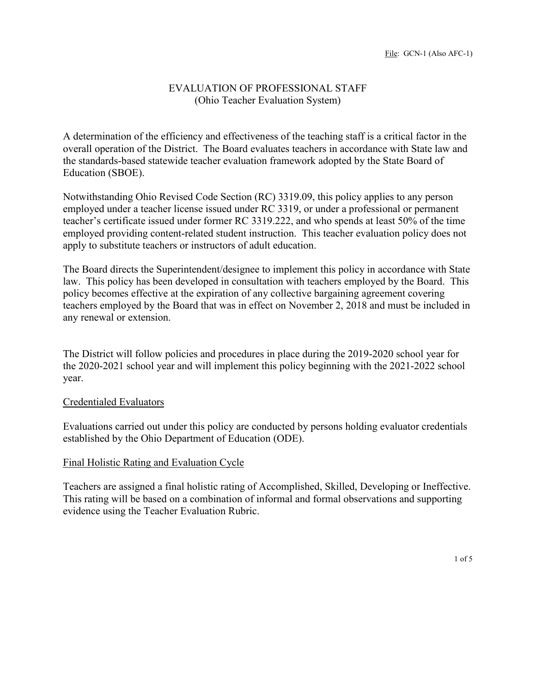## EVALUATION OF PROFESSIONAL STAFF (Ohio Teacher Evaluation System)

A determination of the efficiency and effectiveness of the teaching staff is a critical factor in the overall operation of the District. The Board evaluates teachers in accordance with State law and the standards-based statewide teacher evaluation framework adopted by the State Board of Education (SBOE).

Notwithstanding Ohio Revised Code Section (RC) 3319.09, this policy applies to any person employed under a teacher license issued under RC 3319, or under a professional or permanent teacher's certificate issued under former RC 3319.222, and who spends at least 50% of the time employed providing content-related student instruction. This teacher evaluation policy does not apply to substitute teachers or instructors of adult education.

The Board directs the Superintendent/designee to implement this policy in accordance with State law. This policy has been developed in consultation with teachers employed by the Board. This policy becomes effective at the expiration of any collective bargaining agreement covering teachers employed by the Board that was in effect on November 2, 2018 and must be included in any renewal or extension.

The District will follow policies and procedures in place during the 2019-2020 school year for the 2020-2021 school year and will implement this policy beginning with the 2021-2022 school year.

## Credentialed Evaluators

Evaluations carried out under this policy are conducted by persons holding evaluator credentials established by the Ohio Department of Education (ODE).

#### Final Holistic Rating and Evaluation Cycle

Teachers are assigned a final holistic rating of Accomplished, Skilled, Developing or Ineffective. This rating will be based on a combination of informal and formal observations and supporting evidence using the Teacher Evaluation Rubric.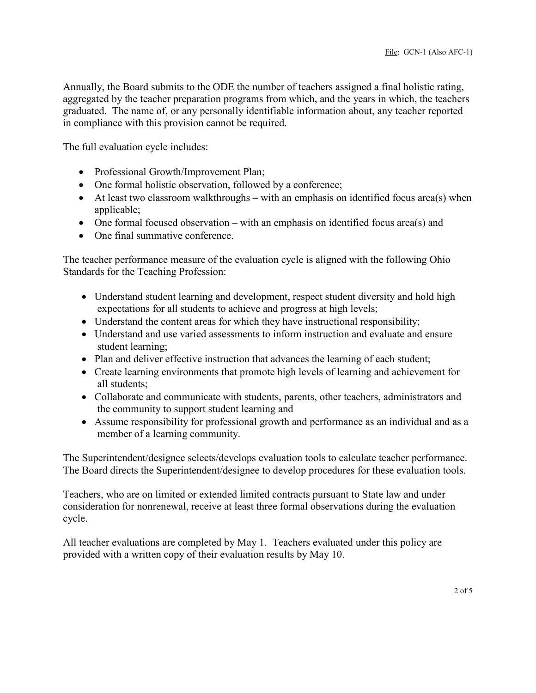Annually, the Board submits to the ODE the number of teachers assigned a final holistic rating, aggregated by the teacher preparation programs from which, and the years in which, the teachers graduated. The name of, or any personally identifiable information about, any teacher reported in compliance with this provision cannot be required.

The full evaluation cycle includes:

- Professional Growth/Improvement Plan;
- One formal holistic observation, followed by a conference;
- At least two classroom walkthroughs with an emphasis on identified focus area(s) when applicable;
- One formal focused observation with an emphasis on identified focus area(s) and
- One final summative conference.

The teacher performance measure of the evaluation cycle is aligned with the following Ohio Standards for the Teaching Profession:

- Understand student learning and development, respect student diversity and hold high expectations for all students to achieve and progress at high levels;
- Understand the content areas for which they have instructional responsibility;
- Understand and use varied assessments to inform instruction and evaluate and ensure student learning;
- Plan and deliver effective instruction that advances the learning of each student;
- Create learning environments that promote high levels of learning and achievement for all students;
- Collaborate and communicate with students, parents, other teachers, administrators and the community to support student learning and
- Assume responsibility for professional growth and performance as an individual and as a member of a learning community.

The Superintendent/designee selects/develops evaluation tools to calculate teacher performance. The Board directs the Superintendent/designee to develop procedures for these evaluation tools.

Teachers, who are on limited or extended limited contracts pursuant to State law and under consideration for nonrenewal, receive at least three formal observations during the evaluation cycle.

All teacher evaluations are completed by May 1. Teachers evaluated under this policy are provided with a written copy of their evaluation results by May 10.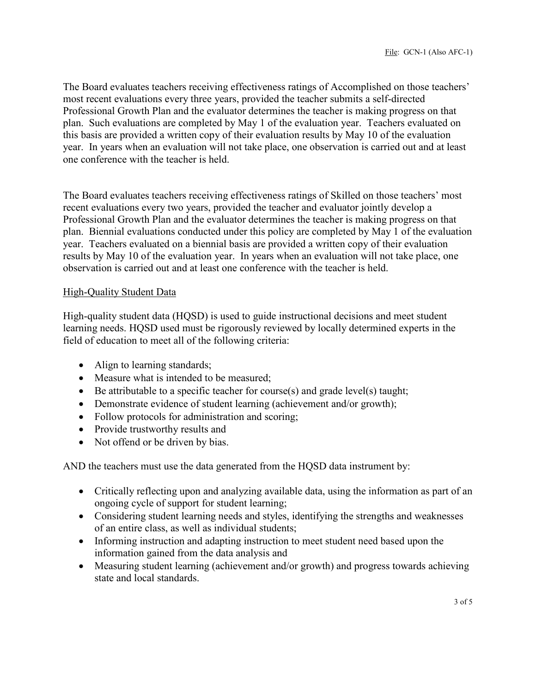The Board evaluates teachers receiving effectiveness ratings of Accomplished on those teachers' most recent evaluations every three years, provided the teacher submits a self-directed Professional Growth Plan and the evaluator determines the teacher is making progress on that plan. Such evaluations are completed by May 1 of the evaluation year. Teachers evaluated on this basis are provided a written copy of their evaluation results by May 10 of the evaluation year. In years when an evaluation will not take place, one observation is carried out and at least one conference with the teacher is held.

The Board evaluates teachers receiving effectiveness ratings of Skilled on those teachers' most recent evaluations every two years, provided the teacher and evaluator jointly develop a Professional Growth Plan and the evaluator determines the teacher is making progress on that plan. Biennial evaluations conducted under this policy are completed by May 1 of the evaluation year. Teachers evaluated on a biennial basis are provided a written copy of their evaluation results by May 10 of the evaluation year. In years when an evaluation will not take place, one observation is carried out and at least one conference with the teacher is held.

## High-Quality Student Data

High-quality student data (HQSD) is used to guide instructional decisions and meet student learning needs. HQSD used must be rigorously reviewed by locally determined experts in the field of education to meet all of the following criteria:

- Align to learning standards;
- Measure what is intended to be measured;
- Be attributable to a specific teacher for course(s) and grade level(s) taught;
- Demonstrate evidence of student learning (achievement and/or growth);
- Follow protocols for administration and scoring;
- Provide trustworthy results and
- Not offend or be driven by bias.

AND the teachers must use the data generated from the HQSD data instrument by:

- Critically reflecting upon and analyzing available data, using the information as part of an ongoing cycle of support for student learning;
- Considering student learning needs and styles, identifying the strengths and weaknesses of an entire class, as well as individual students;
- Informing instruction and adapting instruction to meet student need based upon the information gained from the data analysis and
- Measuring student learning (achievement and/or growth) and progress towards achieving state and local standards.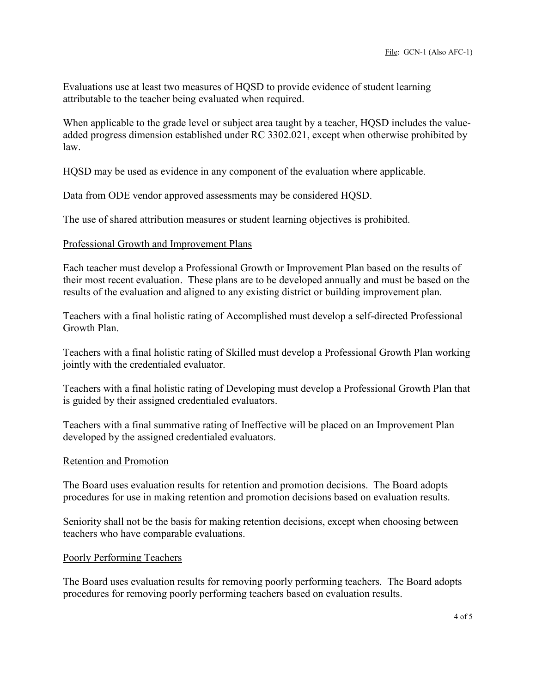Evaluations use at least two measures of HQSD to provide evidence of student learning attributable to the teacher being evaluated when required.

When applicable to the grade level or subject area taught by a teacher, HQSD includes the valueadded progress dimension established under RC 3302.021, except when otherwise prohibited by law.

HQSD may be used as evidence in any component of the evaluation where applicable.

Data from ODE vendor approved assessments may be considered HQSD.

The use of shared attribution measures or student learning objectives is prohibited.

#### Professional Growth and Improvement Plans

Each teacher must develop a Professional Growth or Improvement Plan based on the results of their most recent evaluation. These plans are to be developed annually and must be based on the results of the evaluation and aligned to any existing district or building improvement plan.

Teachers with a final holistic rating of Accomplished must develop a self-directed Professional Growth Plan.

Teachers with a final holistic rating of Skilled must develop a Professional Growth Plan working jointly with the credentialed evaluator.

Teachers with a final holistic rating of Developing must develop a Professional Growth Plan that is guided by their assigned credentialed evaluators.

Teachers with a final summative rating of Ineffective will be placed on an Improvement Plan developed by the assigned credentialed evaluators.

#### Retention and Promotion

The Board uses evaluation results for retention and promotion decisions. The Board adopts procedures for use in making retention and promotion decisions based on evaluation results.

Seniority shall not be the basis for making retention decisions, except when choosing between teachers who have comparable evaluations.

#### Poorly Performing Teachers

The Board uses evaluation results for removing poorly performing teachers. The Board adopts procedures for removing poorly performing teachers based on evaluation results.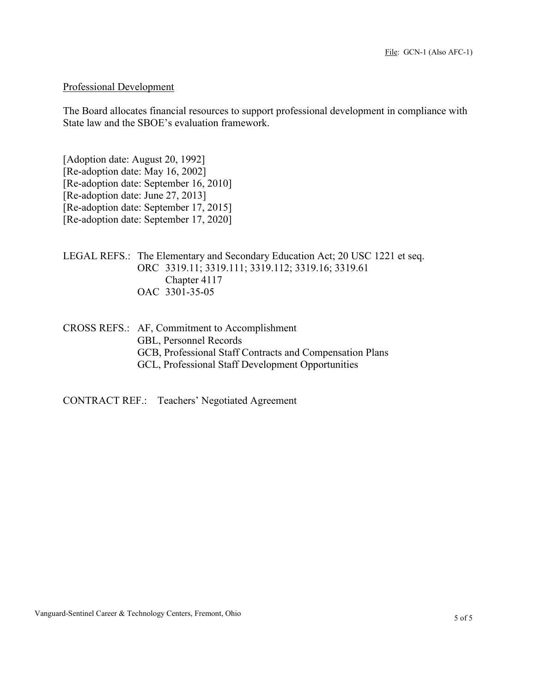### Professional Development

The Board allocates financial resources to support professional development in compliance with State law and the SBOE's evaluation framework.

[Adoption date: August 20, 1992] [Re-adoption date: May 16, 2002] [Re-adoption date: September 16, 2010] [Re-adoption date: June 27, 2013] [Re-adoption date: September 17, 2015] [Re-adoption date: September 17, 2020]

LEGAL REFS.: The Elementary and Secondary Education Act; 20 USC 1221 et seq. ORC 3319.11; 3319.111; 3319.112; 3319.16; 3319.61 Chapter 4117 OAC 3301-35-05

CROSS REFS.: AF, Commitment to Accomplishment GBL, Personnel Records GCB, Professional Staff Contracts and Compensation Plans GCL, Professional Staff Development Opportunities

CONTRACT REF.: Teachers' Negotiated Agreement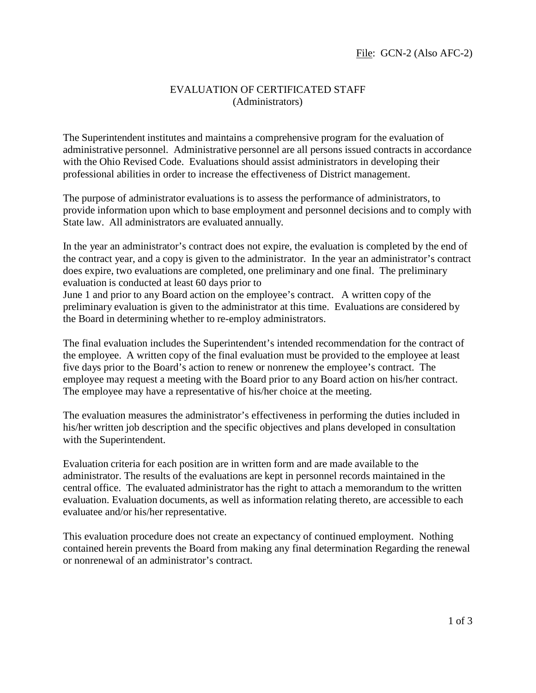## EVALUATION OF CERTIFICATED STAFF (Administrators)

The Superintendent institutes and maintains a comprehensive program for the evaluation of administrative personnel. Administrative personnel are all persons issued contracts in accordance with the Ohio Revised Code. Evaluations should assist administrators in developing their professional abilities in order to increase the effectiveness of District management.

The purpose of administrator evaluations is to assess the performance of administrators, to provide information upon which to base employment and personnel decisions and to comply with State law. All administrators are evaluated annually.

In the year an administrator's contract does not expire, the evaluation is completed by the end of the contract year, and a copy is given to the administrator. In the year an administrator's contract does expire, two evaluations are completed, one preliminary and one final. The preliminary evaluation is conducted at least 60 days prior to

June 1 and prior to any Board action on the employee's contract. A written copy of the preliminary evaluation is given to the administrator at this time. Evaluations are considered by the Board in determining whether to re-employ administrators.

The final evaluation includes the Superintendent's intended recommendation for the contract of the employee. A written copy of the final evaluation must be provided to the employee at least five days prior to the Board's action to renew or nonrenew the employee's contract. The employee may request a meeting with the Board prior to any Board action on his/her contract. The employee may have a representative of his/her choice at the meeting.

The evaluation measures the administrator's effectiveness in performing the duties included in his/her written job description and the specific objectives and plans developed in consultation with the Superintendent.

Evaluation criteria for each position are in written form and are made available to the administrator. The results of the evaluations are kept in personnel records maintained in the central office. The evaluated administrator has the right to attach a memorandum to the written evaluation. Evaluation documents, as well as information relating thereto, are accessible to each evaluatee and/or his/her representative.

This evaluation procedure does not create an expectancy of continued employment. Nothing contained herein prevents the Board from making any final determination Regarding the renewal or nonrenewal of an administrator's contract.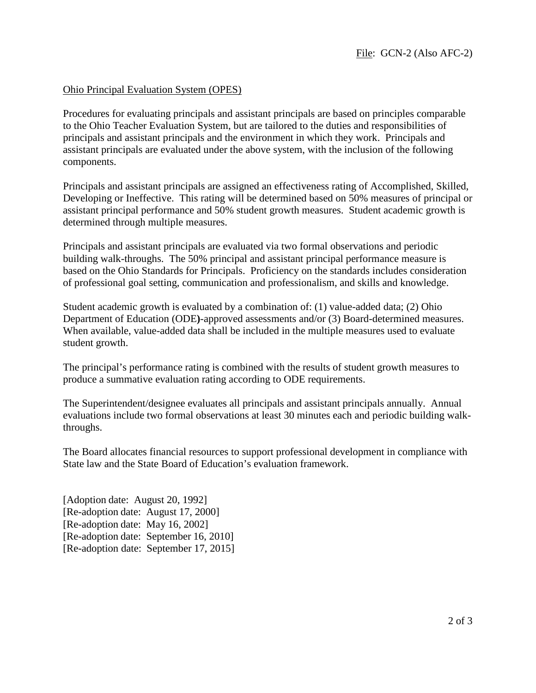## Ohio Principal Evaluation System (OPES)

Procedures for evaluating principals and assistant principals are based on principles comparable to the Ohio Teacher Evaluation System, but are tailored to the duties and responsibilities of principals and assistant principals and the environment in which they work. Principals and assistant principals are evaluated under the above system, with the inclusion of the following components.

Principals and assistant principals are assigned an effectiveness rating of Accomplished, Skilled, Developing or Ineffective. This rating will be determined based on 50% measures of principal or assistant principal performance and 50% student growth measures. Student academic growth is determined through multiple measures.

Principals and assistant principals are evaluated via two formal observations and periodic building walk-throughs. The 50% principal and assistant principal performance measure is based on the Ohio Standards for Principals. Proficiency on the standards includes consideration of professional goal setting, communication and professionalism, and skills and knowledge.

Student academic growth is evaluated by a combination of: (1) value-added data; (2) Ohio Department of Education (ODE**)**-approved assessments and/or (3) Board-determined measures. When available, value-added data shall be included in the multiple measures used to evaluate student growth.

The principal's performance rating is combined with the results of student growth measures to produce a summative evaluation rating according to ODE requirements.

The Superintendent/designee evaluates all principals and assistant principals annually. Annual evaluations include two formal observations at least 30 minutes each and periodic building walkthroughs.

The Board allocates financial resources to support professional development in compliance with State law and the State Board of Education's evaluation framework.

[Adoption date: August 20, 1992] [Re-adoption date: August 17, 2000] [Re-adoption date: May 16, 2002] [Re-adoption date: September 16, 2010] [Re-adoption date: September 17, 2015]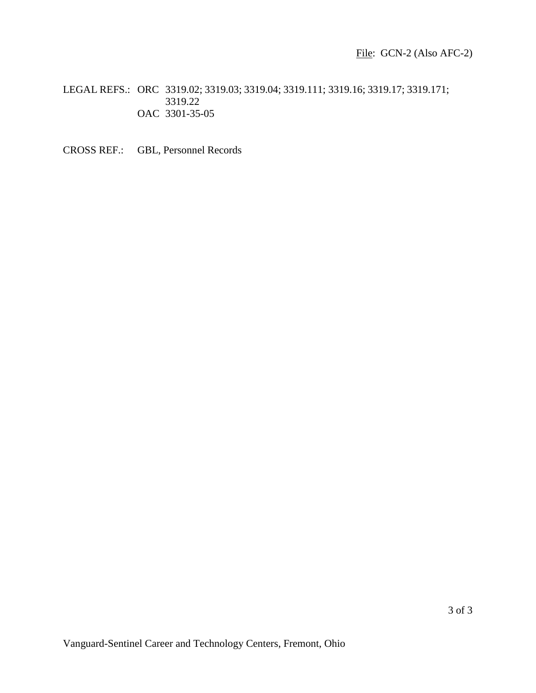LEGAL REFS.: ORC 3319.02; 3319.03; 3319.04; 3319.111; 3319.16; 3319.17; 3319.171; 3319.22 OAC 3301-35-05

CROSS REF.: GBL, Personnel Records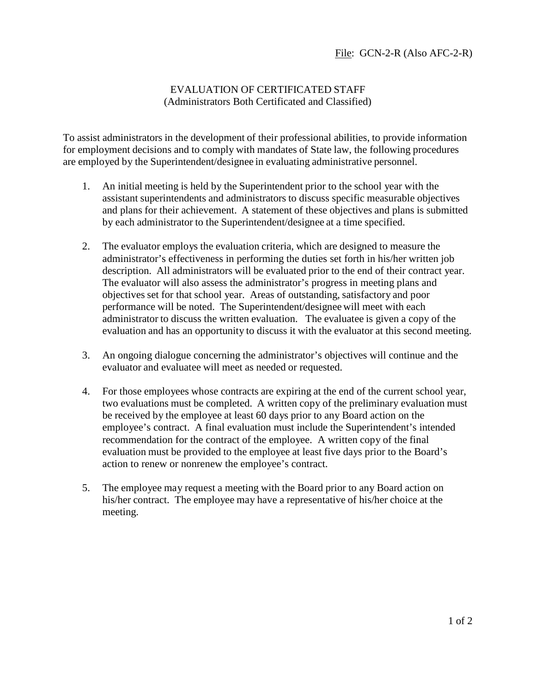# EVALUATION OF CERTIFICATED STAFF (Administrators Both Certificated and Classified)

To assist administrators in the development of their professional abilities, to provide information for employment decisions and to comply with mandates of State law, the following procedures are employed by the Superintendent/designee in evaluating administrative personnel.

- 1. An initial meeting is held by the Superintendent prior to the school year with the assistant superintendents and administrators to discuss specific measurable objectives and plans for their achievement. A statement of these objectives and plans is submitted by each administrator to the Superintendent/designee at a time specified.
- 2. The evaluator employs the evaluation criteria, which are designed to measure the administrator's effectiveness in performing the duties set forth in his/her written job description. All administrators will be evaluated prior to the end of their contract year. The evaluator will also assess the administrator's progress in meeting plans and objectives set for that school year. Areas of outstanding, satisfactory and poor performance will be noted. The Superintendent/designee will meet with each administrator to discuss the written evaluation. The evaluatee is given a copy of the evaluation and has an opportunity to discuss it with the evaluator at this second meeting.
- 3. An ongoing dialogue concerning the administrator's objectives will continue and the evaluator and evaluatee will meet as needed or requested.
- 4. For those employees whose contracts are expiring at the end of the current school year, two evaluations must be completed. A written copy of the preliminary evaluation must be received by the employee at least 60 days prior to any Board action on the employee's contract. A final evaluation must include the Superintendent's intended recommendation for the contract of the employee. A written copy of the final evaluation must be provided to the employee at least five days prior to the Board's action to renew or nonrenew the employee's contract.
- 5. The employee may request a meeting with the Board prior to any Board action on his/her contract. The employee may have a representative of his/her choice at the meeting.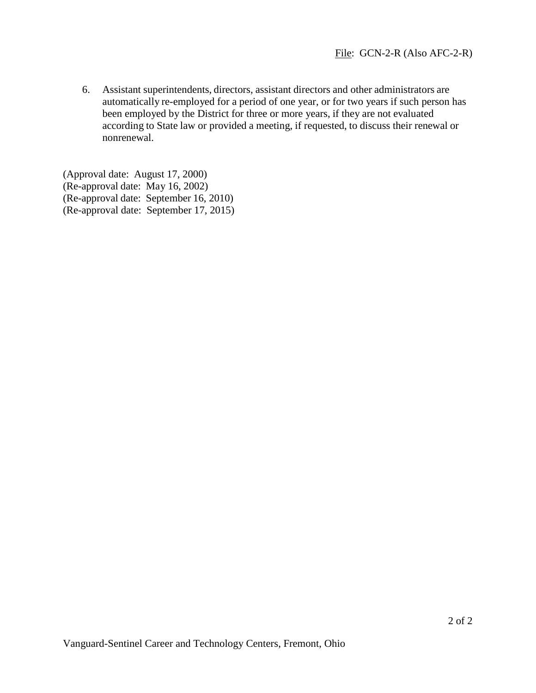6. Assistant superintendents, directors, assistant directors and other administrators are automatically re-employed for a period of one year, or for two years if such person has been employed by the District for three or more years, if they are not evaluated according to State law or provided a meeting, if requested, to discuss their renewal or nonrenewal.

(Approval date: August 17, 2000) (Re-approval date: May 16, 2002) (Re-approval date: September 16, 2010) (Re-approval date: September 17, 2015)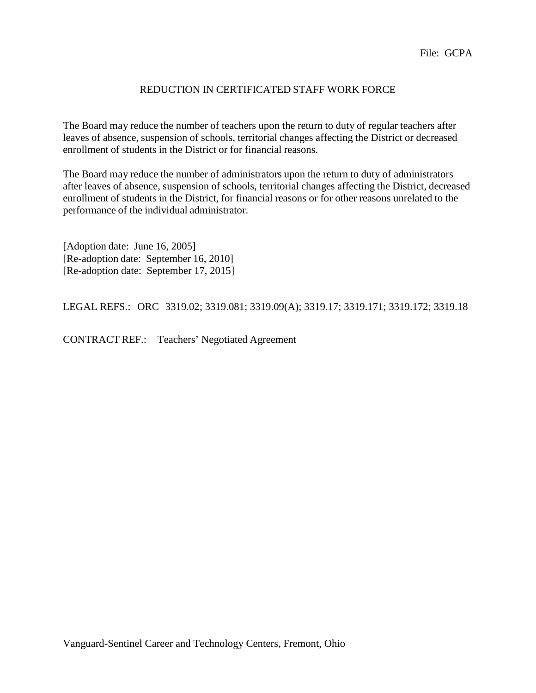## REDUCTION IN CERTIFICATED STAFF WORK FORCE

The Board may reduce the number of teachers upon the return to duty of regular teachers after leaves of absence, suspension of schools, territorial changes affecting the District or decreased enrollment of students in the District or for financial reasons.

The Board may reduce the number of administrators upon the return to duty of administrators after leaves of absence, suspension of schools, territorial changes affecting the District, decreased enrollment of students in the District, for financial reasons or for other reasons unrelated to the performance of the individual administrator.

[Adoption date: June 16, 2005] [Re-adoption date: September 16, 2010] [Re-adoption date: September 17, 2015]

LEGAL REFS.: ORC 3319.02; 3319.081; 3319.09(A); 3319.17; 3319.171; 3319.172; 3319.18

CONTRACT REF.: Teachers' Negotiated Agreement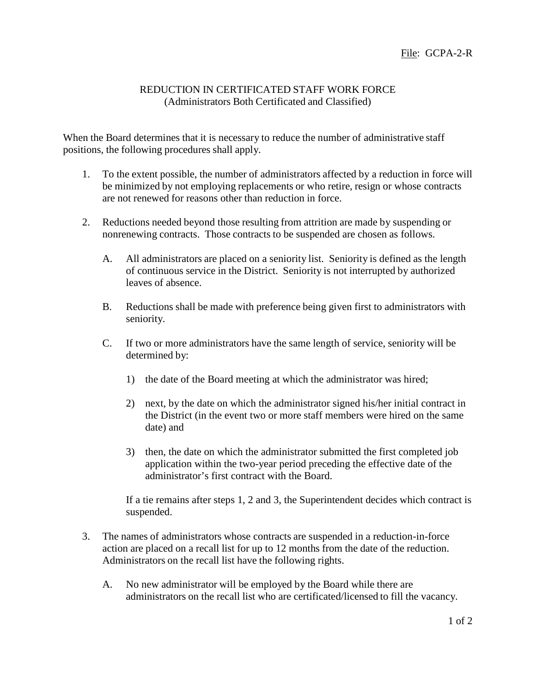## REDUCTION IN CERTIFICATED STAFF WORK FORCE (Administrators Both Certificated and Classified)

When the Board determines that it is necessary to reduce the number of administrative staff positions, the following procedures shall apply.

- 1. To the extent possible, the number of administrators affected by a reduction in force will be minimized by not employing replacements or who retire, resign or whose contracts are not renewed for reasons other than reduction in force.
- 2. Reductions needed beyond those resulting from attrition are made by suspending or nonrenewing contracts. Those contracts to be suspended are chosen as follows.
	- A. All administrators are placed on a seniority list. Seniority is defined as the length of continuous service in the District. Seniority is not interrupted by authorized leaves of absence.
	- B. Reductions shall be made with preference being given first to administrators with seniority.
	- C. If two or more administrators have the same length of service, seniority will be determined by:
		- 1) the date of the Board meeting at which the administrator was hired;
		- 2) next, by the date on which the administrator signed his/her initial contract in the District (in the event two or more staff members were hired on the same date) and
		- 3) then, the date on which the administrator submitted the first completed job application within the two-year period preceding the effective date of the administrator's first contract with the Board.

If a tie remains after steps 1, 2 and 3, the Superintendent decides which contract is suspended.

- 3. The names of administrators whose contracts are suspended in a reduction-in-force action are placed on a recall list for up to 12 months from the date of the reduction. Administrators on the recall list have the following rights.
	- A. No new administrator will be employed by the Board while there are administrators on the recall list who are certificated/licensed to fill the vacancy.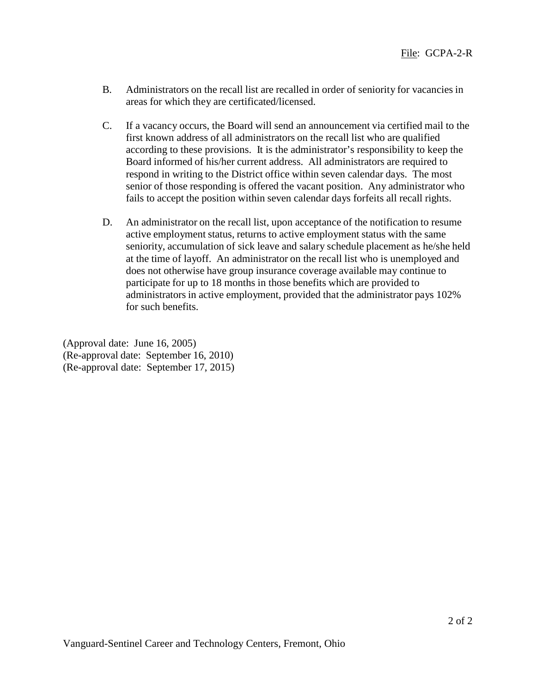- B. Administrators on the recall list are recalled in order of seniority for vacancies in areas for which they are certificated/licensed.
- C. If a vacancy occurs, the Board will send an announcement via certified mail to the first known address of all administrators on the recall list who are qualified according to these provisions. It is the administrator's responsibility to keep the Board informed of his/her current address. All administrators are required to respond in writing to the District office within seven calendar days. The most senior of those responding is offered the vacant position. Any administrator who fails to accept the position within seven calendar days forfeits all recall rights.
- D. An administrator on the recall list, upon acceptance of the notification to resume active employment status, returns to active employment status with the same seniority, accumulation of sick leave and salary schedule placement as he/she held at the time of layoff. An administrator on the recall list who is unemployed and does not otherwise have group insurance coverage available may continue to participate for up to 18 months in those benefits which are provided to administrators in active employment, provided that the administrator pays 102% for such benefits.

(Approval date: June 16, 2005) (Re-approval date: September 16, 2010) (Re-approval date: September 17, 2015)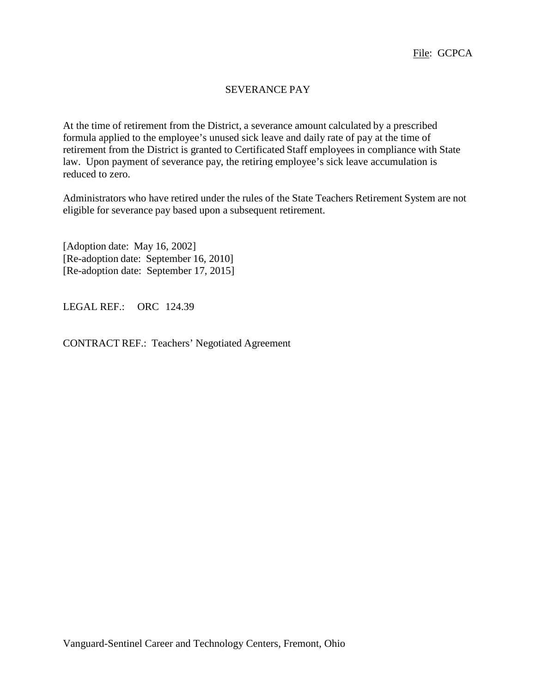# SEVERANCE PAY

At the time of retirement from the District, a severance amount calculated by a prescribed formula applied to the employee's unused sick leave and daily rate of pay at the time of retirement from the District is granted to Certificated Staff employees in compliance with State law. Upon payment of severance pay, the retiring employee's sick leave accumulation is reduced to zero.

Administrators who have retired under the rules of the State Teachers Retirement System are not eligible for severance pay based upon a subsequent retirement.

[Adoption date: May 16, 2002] [Re-adoption date: September 16, 2010] [Re-adoption date: September 17, 2015]

LEGAL REF.: ORC 124.39

CONTRACT REF.: Teachers' Negotiated Agreement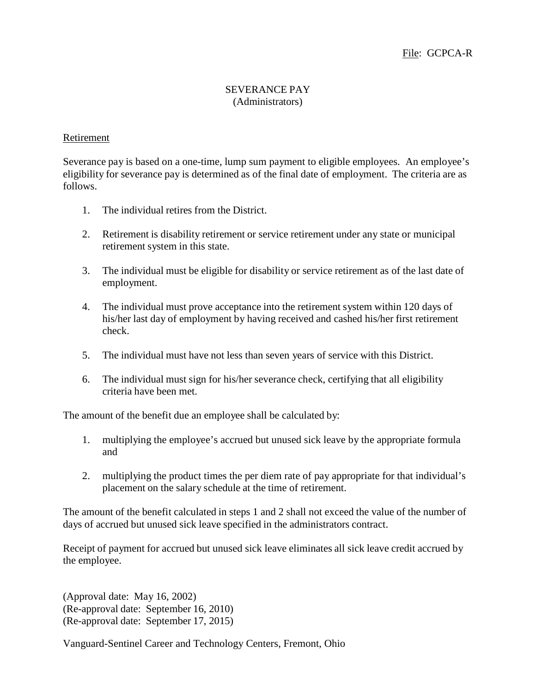## SEVERANCE PAY (Administrators)

## Retirement

Severance pay is based on a one-time, lump sum payment to eligible employees. An employee's eligibility for severance pay is determined as of the final date of employment. The criteria are as follows.

- 1. The individual retires from the District.
- 2. Retirement is disability retirement or service retirement under any state or municipal retirement system in this state.
- 3. The individual must be eligible for disability or service retirement as of the last date of employment.
- 4. The individual must prove acceptance into the retirement system within 120 days of his/her last day of employment by having received and cashed his/her first retirement check.
- 5. The individual must have not less than seven years of service with this District.
- 6. The individual must sign for his/her severance check, certifying that all eligibility criteria have been met.

The amount of the benefit due an employee shall be calculated by:

- 1. multiplying the employee's accrued but unused sick leave by the appropriate formula and
- 2. multiplying the product times the per diem rate of pay appropriate for that individual's placement on the salary schedule at the time of retirement.

The amount of the benefit calculated in steps 1 and 2 shall not exceed the value of the number of days of accrued but unused sick leave specified in the administrators contract.

Receipt of payment for accrued but unused sick leave eliminates all sick leave credit accrued by the employee.

(Approval date: May 16, 2002) (Re-approval date: September 16, 2010) (Re-approval date: September 17, 2015)

Vanguard-Sentinel Career and Technology Centers, Fremont, Ohio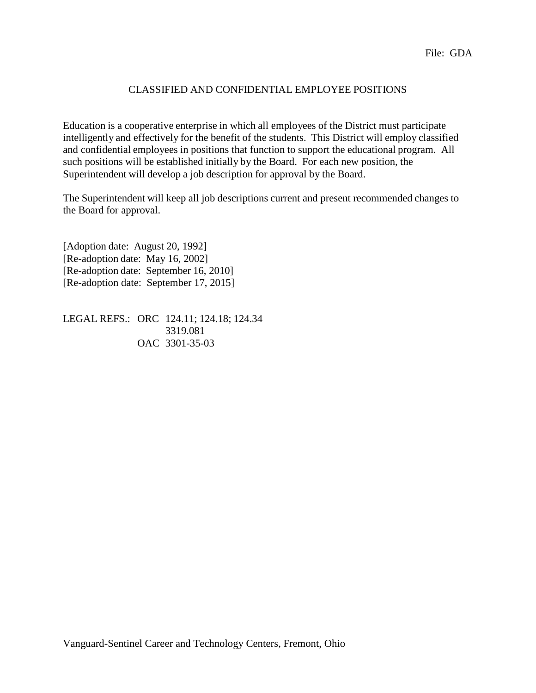# CLASSIFIED AND CONFIDENTIAL EMPLOYEE POSITIONS

Education is a cooperative enterprise in which all employees of the District must participate intelligently and effectively for the benefit of the students. This District will employ classified and confidential employees in positions that function to support the educational program. All such positions will be established initially by the Board. For each new position, the Superintendent will develop a job description for approval by the Board.

The Superintendent will keep all job descriptions current and present recommended changes to the Board for approval.

[Adoption date: August 20, 1992] [Re-adoption date: May 16, 2002] [Re-adoption date: September 16, 2010] [Re-adoption date: September 17, 2015]

LEGAL REFS.: ORC 124.11; 124.18; 124.34 3319.081 OAC 3301-35-03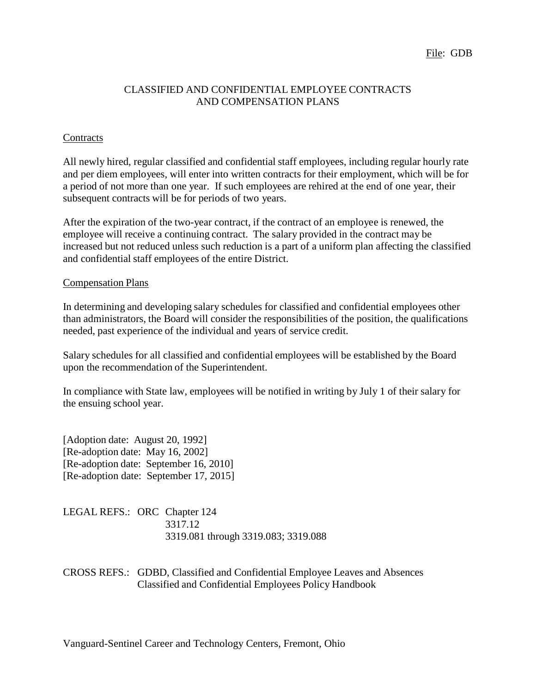File: GDB

## CLASSIFIED AND CONFIDENTIAL EMPLOYEE CONTRACTS AND COMPENSATION PLANS

## **Contracts**

All newly hired, regular classified and confidential staff employees, including regular hourly rate and per diem employees, will enter into written contracts for their employment, which will be for a period of not more than one year. If such employees are rehired at the end of one year, their subsequent contracts will be for periods of two years.

After the expiration of the two-year contract, if the contract of an employee is renewed, the employee will receive a continuing contract. The salary provided in the contract may be increased but not reduced unless such reduction is a part of a uniform plan affecting the classified and confidential staff employees of the entire District.

## Compensation Plans

In determining and developing salary schedules for classified and confidential employees other than administrators, the Board will consider the responsibilities of the position, the qualifications needed, past experience of the individual and years of service credit.

Salary schedules for all classified and confidential employees will be established by the Board upon the recommendation of the Superintendent.

In compliance with State law, employees will be notified in writing by July 1 of their salary for the ensuing school year.

[Adoption date: August 20, 1992] [Re-adoption date: May 16, 2002] [Re-adoption date: September 16, 2010] [Re-adoption date: September 17, 2015]

LEGAL REFS.: ORC Chapter 124 3317.12 3319.081 through 3319.083; 3319.088

CROSS REFS.: GDBD, Classified and Confidential Employee Leaves and Absences Classified and Confidential Employees Policy Handbook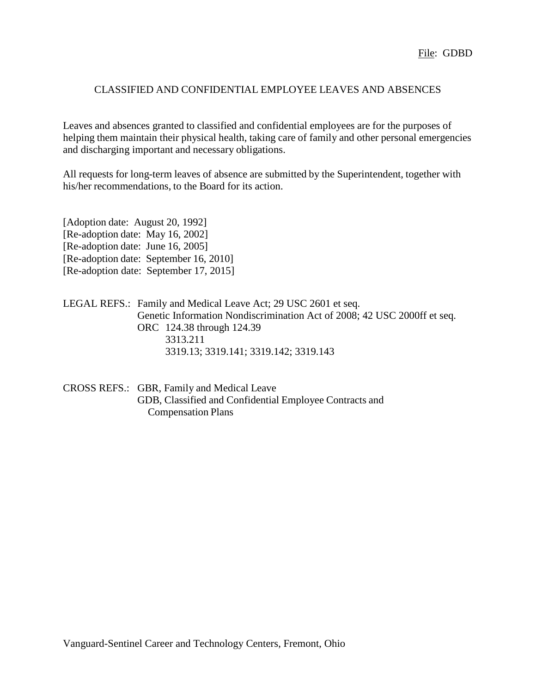## CLASSIFIED AND CONFIDENTIAL EMPLOYEE LEAVES AND ABSENCES

Leaves and absences granted to classified and confidential employees are for the purposes of helping them maintain their physical health, taking care of family and other personal emergencies and discharging important and necessary obligations.

All requests for long-term leaves of absence are submitted by the Superintendent, together with his/her recommendations, to the Board for its action.

| [Adoption date: August 20, 1992]  |                                        |
|-----------------------------------|----------------------------------------|
| [Re-adoption date: May 16, 2002]  |                                        |
| [Re-adoption date: June 16, 2005] |                                        |
|                                   | [Re-adoption date: September 16, 2010] |
|                                   | [Re-adoption date: September 17, 2015] |

| LEGAL REFS.: Family and Medical Leave Act; 29 USC 2601 et seq.           |
|--------------------------------------------------------------------------|
| Genetic Information Nondiscrimination Act of 2008; 42 USC 2000ff et seq. |
| ORC 124.38 through 124.39                                                |
| 3313.211                                                                 |
| 3319.13; 3319.141; 3319.142; 3319.143                                    |

| CROSS REFS.: GBR, Family and Medical Leave              |
|---------------------------------------------------------|
| GDB, Classified and Confidential Employee Contracts and |
| <b>Compensation Plans</b>                               |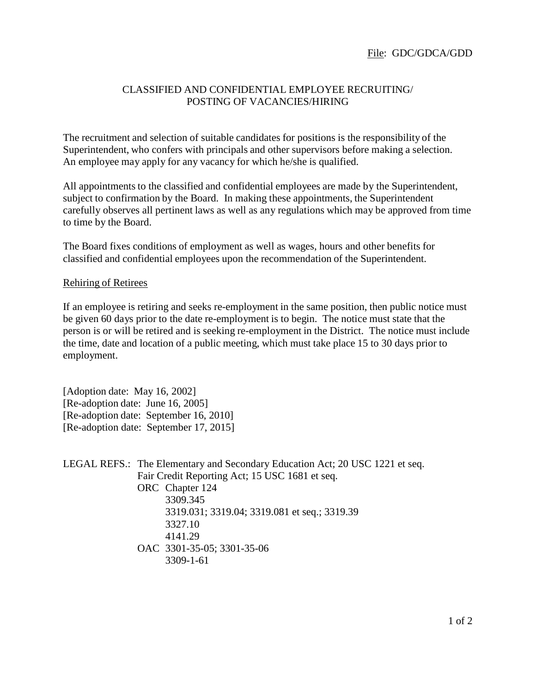# CLASSIFIED AND CONFIDENTIAL EMPLOYEE RECRUITING/ POSTING OF VACANCIES/HIRING

The recruitment and selection of suitable candidates for positions is the responsibility of the Superintendent, who confers with principals and other supervisors before making a selection. An employee may apply for any vacancy for which he/she is qualified.

All appointments to the classified and confidential employees are made by the Superintendent, subject to confirmation by the Board. In making these appointments, the Superintendent carefully observes all pertinent laws as well as any regulations which may be approved from time to time by the Board.

The Board fixes conditions of employment as well as wages, hours and other benefits for classified and confidential employees upon the recommendation of the Superintendent.

## Rehiring of Retirees

If an employee is retiring and seeks re-employment in the same position, then public notice must be given 60 days prior to the date re-employment is to begin. The notice must state that the person is or will be retired and is seeking re-employment in the District. The notice must include the time, date and location of a public meeting, which must take place 15 to 30 days prior to employment.

[Adoption date: May 16, 2002] [Re-adoption date: June 16, 2005] [Re-adoption date: September 16, 2010] [Re-adoption date: September 17, 2015]

LEGAL REFS.: The Elementary and Secondary Education Act; 20 USC 1221 et seq. Fair Credit Reporting Act; 15 USC 1681 et seq. ORC Chapter 124 3309.345 3319.031; 3319.04; 3319.081 et seq.; 3319.39 3327.10 4141.29 OAC 3301-35-05; 3301-35-06 3309-1-61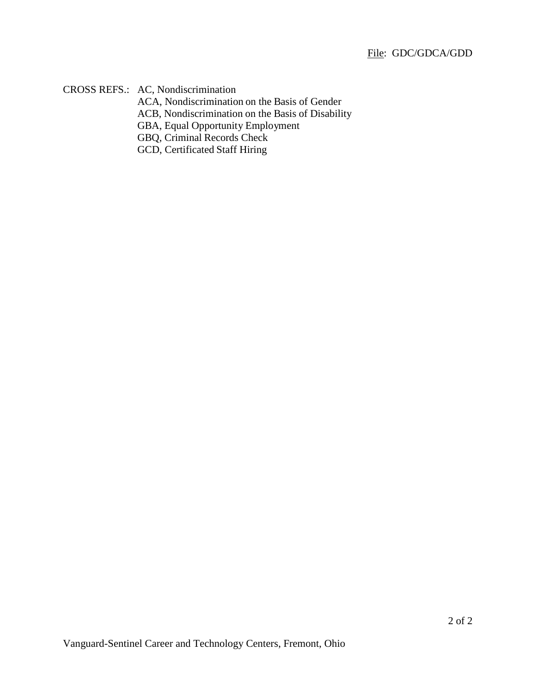CROSS REFS.: AC, Nondiscrimination

ACA, Nondiscrimination on the Basis of Gender

ACB, Nondiscrimination on the Basis of Disability

GBA, Equal Opportunity Employment

GBQ, Criminal Records Check

GCD, Certificated Staff Hiring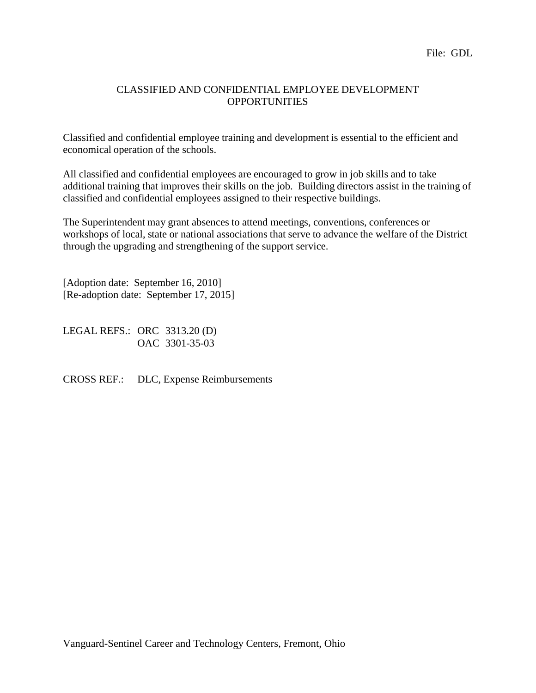## CLASSIFIED AND CONFIDENTIAL EMPLOYEE DEVELOPMENT **OPPORTUNITIES**

Classified and confidential employee training and development is essential to the efficient and economical operation of the schools.

All classified and confidential employees are encouraged to grow in job skills and to take additional training that improves their skills on the job. Building directors assist in the training of classified and confidential employees assigned to their respective buildings.

The Superintendent may grant absences to attend meetings, conventions, conferences or workshops of local, state or national associations that serve to advance the welfare of the District through the upgrading and strengthening of the support service.

[Adoption date: September 16, 2010] [Re-adoption date: September 17, 2015]

LEGAL REFS.: ORC 3313.20 (D) OAC 3301-35-03

CROSS REF.: DLC, Expense Reimbursements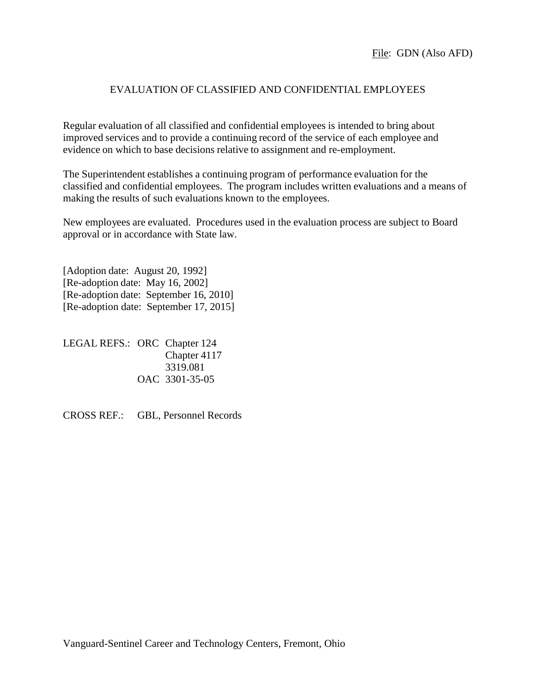## EVALUATION OF CLASSIFIED AND CONFIDENTIAL EMPLOYEES

Regular evaluation of all classified and confidential employees is intended to bring about improved services and to provide a continuing record of the service of each employee and evidence on which to base decisions relative to assignment and re-employment.

The Superintendent establishes a continuing program of performance evaluation for the classified and confidential employees. The program includes written evaluations and a means of making the results of such evaluations known to the employees.

New employees are evaluated. Procedures used in the evaluation process are subject to Board approval or in accordance with State law.

[Adoption date: August 20, 1992] [Re-adoption date: May 16, 2002] [Re-adoption date: September 16, 2010] [Re-adoption date: September 17, 2015]

LEGAL REFS.: ORC Chapter 124 Chapter 4117 3319.081 OAC 3301-35-05

CROSS REF.: GBL, Personnel Records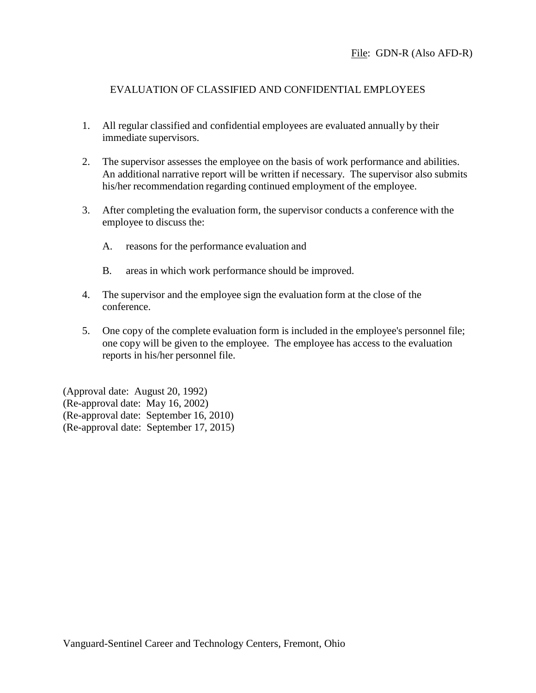## EVALUATION OF CLASSIFIED AND CONFIDENTIAL EMPLOYEES

- 1. All regular classified and confidential employees are evaluated annually by their immediate supervisors.
- 2. The supervisor assesses the employee on the basis of work performance and abilities. An additional narrative report will be written if necessary. The supervisor also submits his/her recommendation regarding continued employment of the employee.
- 3. After completing the evaluation form, the supervisor conducts a conference with the employee to discuss the:
	- A. reasons for the performance evaluation and
	- B. areas in which work performance should be improved.
- 4. The supervisor and the employee sign the evaluation form at the close of the conference.
- 5. One copy of the complete evaluation form is included in the employee's personnel file; one copy will be given to the employee. The employee has access to the evaluation reports in his/her personnel file.

(Approval date: August 20, 1992) (Re-approval date: May 16, 2002) (Re-approval date: September 16, 2010) (Re-approval date: September 17, 2015)